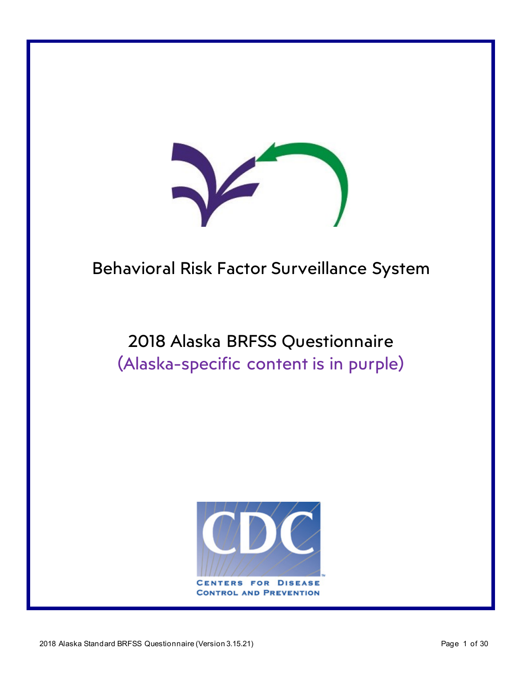

## Behavioral Risk Factor Surveillance System

# 2018 Alaska BRFSS Questionnaire (Alaska-specific content is in purple)

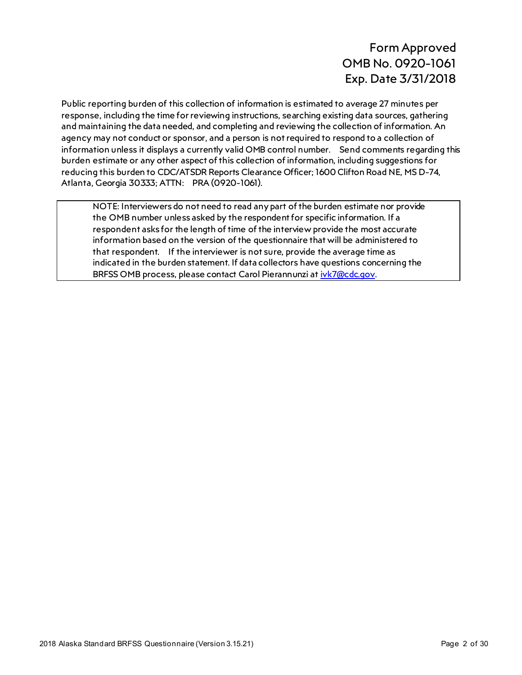#### Form Approved OMB No. 0920-1061 Exp. Date 3/31/2018

Public reporting burden of this collection of information is estimated to average 27 minutes per response, including the time for reviewing instructions, searching existing data sources, gathering and maintaining the data needed, and completing and reviewing the collection of information. An agency may not conduct or sponsor, and a person is not required to respond to a collection of information unless it displays a currently valid OMB control number. Send comments regarding this burden estimate or any other aspect of this collection of information, including suggestions for reducing this burden to CDC/ATSDR Reports Clearance Officer; 1600 Clifton Road NE, MS D-74, Atlanta, Georgia 30333; ATTN: PRA (0920-1061).

NOTE: Interviewers do not need to read any part of the burden estimate nor provide the OMB number unless asked by the respondent for specific information. If a respondent asks for the length of time of the interview provide the most accurate information based on the version of the questionnaire that will be administered to that respondent. If the interviewer is not sure, provide the average time as indicated in the burden statement. If data collectors have questions concerning the BRFSS OMB process, please contact Carol Pierannunzi a[t ivk7@cdc.gov](mailto:ivk7@cdc.gov).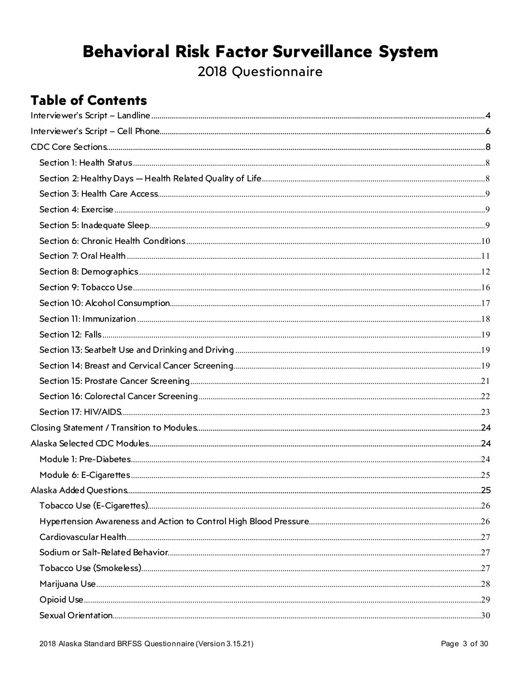## Behavioral Risk Factor Surveillance System 2018 Questionnaire

### **Table of Contents**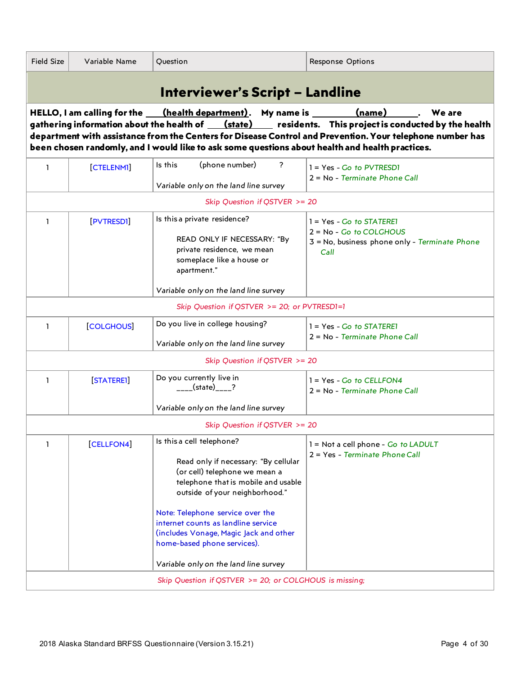<span id="page-3-0"></span>

| <b>Field Size</b>                                      | Variable Name                                                                                                                                                                                                                                                                                                                                                                                                         | Ouestion                                                                                                                                                                                                                                                                                                                                                                 | Response Options                                                                                                 |  |
|--------------------------------------------------------|-----------------------------------------------------------------------------------------------------------------------------------------------------------------------------------------------------------------------------------------------------------------------------------------------------------------------------------------------------------------------------------------------------------------------|--------------------------------------------------------------------------------------------------------------------------------------------------------------------------------------------------------------------------------------------------------------------------------------------------------------------------------------------------------------------------|------------------------------------------------------------------------------------------------------------------|--|
|                                                        | <b>Interviewer's Script – Landline</b>                                                                                                                                                                                                                                                                                                                                                                                |                                                                                                                                                                                                                                                                                                                                                                          |                                                                                                                  |  |
|                                                        | HELLO, I am calling for the <u>(health department)</u> . My name is _________(name)<br>We are<br>gathering information about the health of (state) residents. This project is conducted by the health<br>department with assistance from the Centers for Disease Control and Prevention. Your telephone number has<br>been chosen randomly, and I would like to ask some questions about health and health practices. |                                                                                                                                                                                                                                                                                                                                                                          |                                                                                                                  |  |
| ı.                                                     | [CTELENMI]                                                                                                                                                                                                                                                                                                                                                                                                            | (phone number)<br>$\overline{?}$<br>Is this<br>Variable only on the land line survey                                                                                                                                                                                                                                                                                     | $1 = Yes - Go$ to $PVTRESDI$<br>$2 = No - Terminate Phone Call$                                                  |  |
|                                                        |                                                                                                                                                                                                                                                                                                                                                                                                                       | Skip Question if QSTVER >= 20                                                                                                                                                                                                                                                                                                                                            |                                                                                                                  |  |
| L                                                      | [PVTRESD1]                                                                                                                                                                                                                                                                                                                                                                                                            | Is this a private residence?<br>READ ONLY IF NECESSARY: "By<br>private residence, we mean<br>someplace like a house or<br>apartment."                                                                                                                                                                                                                                    | $1 = Yes - Go$ to STATERET<br>$2 = No - Go$ to COLGHOUS<br>3 = No, business phone only - Terminate Phone<br>Call |  |
|                                                        |                                                                                                                                                                                                                                                                                                                                                                                                                       | Variable only on the land line survey                                                                                                                                                                                                                                                                                                                                    |                                                                                                                  |  |
|                                                        |                                                                                                                                                                                                                                                                                                                                                                                                                       | Skip Question if QSTVER >= 20; or PVTRESD1=1                                                                                                                                                                                                                                                                                                                             |                                                                                                                  |  |
| 1                                                      | [COLGHOUS]                                                                                                                                                                                                                                                                                                                                                                                                            | Do you live in college housing?<br>Variable only on the land line survey                                                                                                                                                                                                                                                                                                 | $l = Yes - Go to STATERE$<br>2 = No - Terminate Phone Call                                                       |  |
|                                                        |                                                                                                                                                                                                                                                                                                                                                                                                                       | Skip Question if QSTVER >= 20                                                                                                                                                                                                                                                                                                                                            |                                                                                                                  |  |
| 1                                                      | [STATERE1]                                                                                                                                                                                                                                                                                                                                                                                                            | Do you currently live in<br>____(state)____?<br>Variable only on the land line survey                                                                                                                                                                                                                                                                                    | $1 = Yes - Go$ to CELLFON4<br>$2 = No - Terminate Phone Call$                                                    |  |
|                                                        |                                                                                                                                                                                                                                                                                                                                                                                                                       | Skip Question if QSTVER >= 20                                                                                                                                                                                                                                                                                                                                            |                                                                                                                  |  |
| ı                                                      | [CELLFON4]                                                                                                                                                                                                                                                                                                                                                                                                            | Is this a cell telephone?<br>Read only if necessary: "By cellular<br>(or cell) telephone we mean a<br>telephone that is mobile and usable<br>outside of your neighborhood."<br>Note: Telephone service over the<br>internet counts as landline service<br>(includes Vonage, Magic Jack and other<br>home-based phone services).<br>Variable only on the land line survey | 1 = Not a cell phone - Go to LADULT<br>2 = Yes - Terminate Phone Call                                            |  |
| Skip Question if QSTVER >= 20; or COLGHOUS is missing; |                                                                                                                                                                                                                                                                                                                                                                                                                       |                                                                                                                                                                                                                                                                                                                                                                          |                                                                                                                  |  |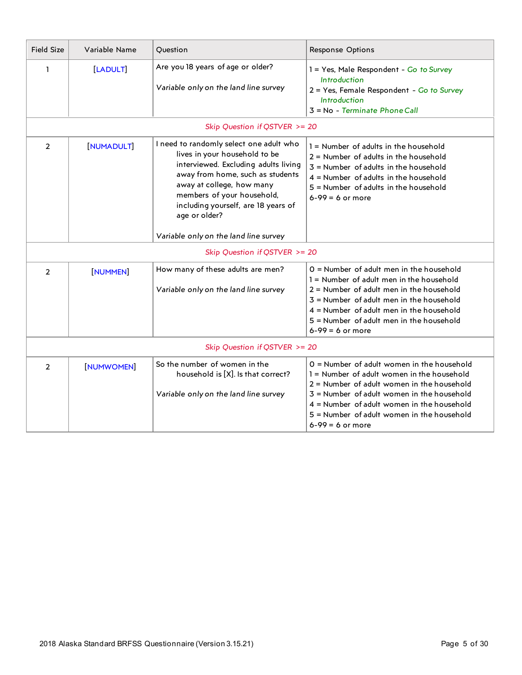| <b>Field Size</b> | Variable Name   | Question                                                                                                                                                                                                                                                                | Response Options                                                                                                                                                                                                                                                                                               |
|-------------------|-----------------|-------------------------------------------------------------------------------------------------------------------------------------------------------------------------------------------------------------------------------------------------------------------------|----------------------------------------------------------------------------------------------------------------------------------------------------------------------------------------------------------------------------------------------------------------------------------------------------------------|
| 1                 | [LADULT]        | Are you 18 years of age or older?<br>Variable only on the land line survey                                                                                                                                                                                              | 1 = Yes, Male Respondent - Go to Survey<br>Introduction<br>2 = Yes, Female Respondent - Go to Survey<br>Introduction<br>$3 = No - Terminate Phone Call$                                                                                                                                                        |
|                   |                 | Skip Question if QSTVER >= 20                                                                                                                                                                                                                                           |                                                                                                                                                                                                                                                                                                                |
| 2                 | <b>NUMADULT</b> | I need to randomly select one adult who<br>lives in your household to be<br>interviewed. Excluding adults living<br>away from home, such as students<br>away at college, how many<br>members of your household,<br>including yourself, are 18 years of<br>age or older? | $1 =$ Number of adults in the household<br>$2$ = Number of adults in the household<br>$3$ = Number of adults in the household<br>$4$ = Number of adults in the household<br>$5 =$ Number of adults in the household<br>$6-99 = 6$ or more                                                                      |
|                   |                 | Variable only on the land line survey                                                                                                                                                                                                                                   |                                                                                                                                                                                                                                                                                                                |
|                   |                 | Skip Question if QSTVER >= 20                                                                                                                                                                                                                                           |                                                                                                                                                                                                                                                                                                                |
| $\overline{2}$    | <b>NUMMEN</b>   | How many of these adults are men?<br>Variable only on the land line survey                                                                                                                                                                                              | $0 =$ Number of adult men in the household<br>$1 =$ Number of adult men in the household<br>$2$ = Number of adult men in the household<br>$3$ = Number of adult men in the household<br>$4$ = Number of adult men in the household<br>5 = Number of adult men in the household<br>$6 - 99 = 6$ or more         |
|                   |                 | Skip Question if QSTVER >= 20                                                                                                                                                                                                                                           |                                                                                                                                                                                                                                                                                                                |
| 2                 | [NUMWOMEN]      | So the number of women in the<br>household is [X]. Is that correct?<br>Variable only on the land line survey                                                                                                                                                            | $O =$ Number of adult women in the household<br>1 = Number of adult women in the household<br>$2$ = Number of adult women in the household<br>$3$ = Number of adult women in the household<br>$4$ = Number of adult women in the household<br>5 = Number of adult women in the household<br>$6-99 = 6$ or more |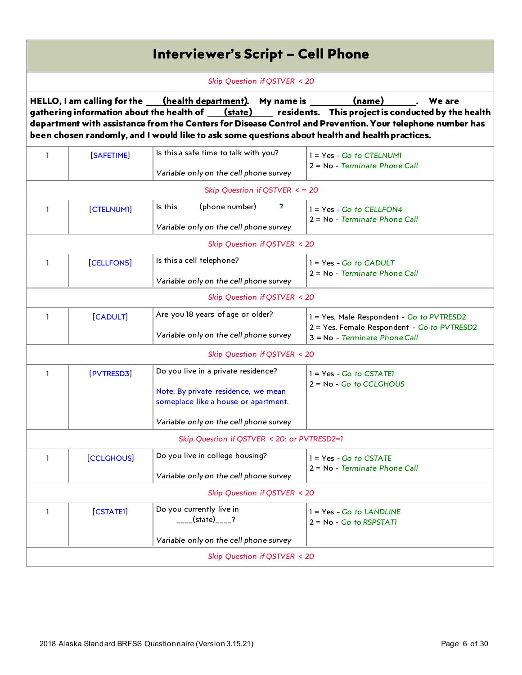<span id="page-5-0"></span>

| <b>Interviewer's Script – Cell Phone</b> |                 |                                                                                                                                                                                        |                                                                                                                                                                                                                                    |
|------------------------------------------|-----------------|----------------------------------------------------------------------------------------------------------------------------------------------------------------------------------------|------------------------------------------------------------------------------------------------------------------------------------------------------------------------------------------------------------------------------------|
|                                          |                 | Skip Question if QSTVER < 20                                                                                                                                                           |                                                                                                                                                                                                                                    |
|                                          |                 | HELLO, I am calling for the <u>(health department)</u> . My name is _________(name)<br>been chosen randomly, and I would like to ask some questions about health and health practices. | We are<br>gathering information about the health of <u>(state)</u> residents. This project is conducted by the health<br>department with assistance from the Centers for Disease Control and Prevention. Your telephone number has |
| $\mathbf{1}$                             | <b>SAFETIME</b> | Is this a safe time to talk with you?<br>Variable only on the cell phone survey                                                                                                        | $l = Yes - Go to CTELNUM1$<br>$2 = No - Terminate Phone Call$                                                                                                                                                                      |
|                                          |                 | Skip Question if QSTVER $\lt$ = 20                                                                                                                                                     |                                                                                                                                                                                                                                    |
| 1                                        | [CTELNUMI]      | Is this<br>(phone number)<br>?<br>Variable only on the cell phone survey                                                                                                               | $1 = Yes - Go$ to CELLFON4<br>2 = No - Terminate Phone Call                                                                                                                                                                        |
|                                          |                 | Skip Question if QSTVER < 20                                                                                                                                                           |                                                                                                                                                                                                                                    |
| 1                                        | [CELLFON5]      | Is this a cell telephone?<br>Variable only on the cell phone survey                                                                                                                    | $1 = Yes - Go$ to CADULT<br>$2 = No - Terminate Phone Call$                                                                                                                                                                        |
|                                          |                 | Skip Question if QSTVER < 20                                                                                                                                                           |                                                                                                                                                                                                                                    |
| 1                                        | [CADULT]        | Are you 18 years of age or older?<br>Variable only on the cell phone survey                                                                                                            | 1 = Yes, Male Respondent - Go to PVTRESD2<br>2 = Yes, Female Respondent - Go to PVTRESD2<br>3 = No - Terminate Phone Call                                                                                                          |
|                                          |                 | Skip Question if QSTVER < 20                                                                                                                                                           |                                                                                                                                                                                                                                    |
| 1                                        | [PVTRESD3]      | Do you live in a private residence?<br>Note: By private residence, we mean<br>someplace like a house or apartment.                                                                     | $1 = Yes - Go$ to CSTATEI<br>$2 = No - Go$ to CCLGHOUS                                                                                                                                                                             |
|                                          |                 | Variable only on the cell phone survey                                                                                                                                                 |                                                                                                                                                                                                                                    |
|                                          |                 | Skip Question if QSTVER < 20; or PVTRESD2=1                                                                                                                                            |                                                                                                                                                                                                                                    |
| 1                                        | [CCLGHOUS]      | Do you live in college housing?<br>Variable only on the cell phone survey                                                                                                              | $1 = Yes - Go$ to CSTATE<br>2 = No - Terminate Phone Call                                                                                                                                                                          |
|                                          |                 | Skip Question if QSTVER < 20                                                                                                                                                           |                                                                                                                                                                                                                                    |
| $\mathbf{1}$                             | [CSTATE1]       | Do you currently live in<br>$_{\_}$ (state)____?                                                                                                                                       | $1 = Yes - Go$ to LANDLINE<br>$2 = No - Go$ to RSPSTATI                                                                                                                                                                            |
|                                          |                 | Variable only on the cell phone survey                                                                                                                                                 |                                                                                                                                                                                                                                    |
|                                          |                 | Skip Question if QSTVER < 20                                                                                                                                                           |                                                                                                                                                                                                                                    |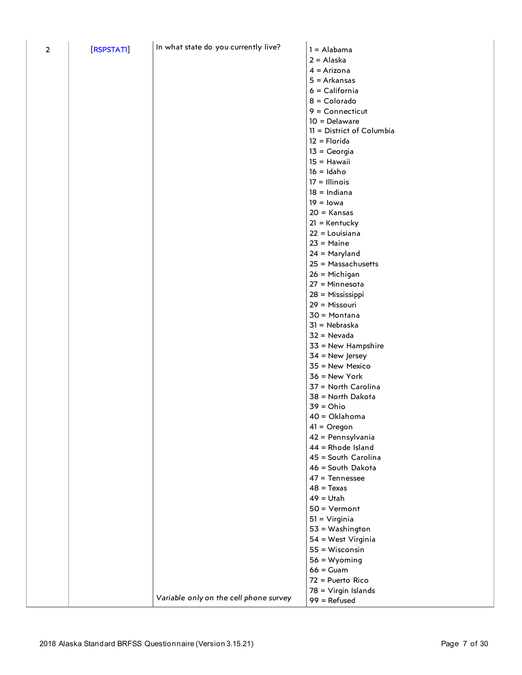|                |            | In what state do you currently live?   |                           |
|----------------|------------|----------------------------------------|---------------------------|
| $\overline{2}$ | [RSPSTATI] |                                        | $1 =$ Alabama             |
|                |            |                                        | $2 =$ Alaska              |
|                |            |                                        | $4 = Arizona$             |
|                |            |                                        | $5 = Arkansas$            |
|                |            |                                        | $6 =$ California          |
|                |            |                                        | $8 =$ Colorado            |
|                |            |                                        | $9 =$ Connecticut         |
|                |            |                                        | $10 =$ Delaware           |
|                |            |                                        | 11 = District of Columbia |
|                |            |                                        | $12 =$ Florida            |
|                |            |                                        | $13 = Georgia$            |
|                |            |                                        | 15 = Hawaii               |
|                |            |                                        | $16 =$ Idaho              |
|                |            |                                        | $17 =$ Illinois           |
|                |            |                                        | $18 = Indiana$            |
|                |            |                                        | $19 =$ lowa               |
|                |            |                                        | $20 =$ Kansas             |
|                |            |                                        | $21 =$ Kentucky           |
|                |            |                                        | $22 =$ Louisiana          |
|                |            |                                        | $23 = Maine$              |
|                |            |                                        | $24 =$ Maryland           |
|                |            |                                        | $25 = Massachuserts$      |
|                |            |                                        | $26$ = Michigan           |
|                |            |                                        | $27 = Minnesota$          |
|                |            |                                        | 28 = Mississippi          |
|                |            |                                        | 29 = Missouri             |
|                |            |                                        | $30 = \text{Montana}$     |
|                |            |                                        | $31 =$ Nebraska           |
|                |            |                                        |                           |
|                |            |                                        | $32 =$ Nevada             |
|                |            |                                        | $33$ = New Hampshire      |
|                |            |                                        | $34$ = New Jersey         |
|                |            |                                        | 35 = New Mexico           |
|                |            |                                        | $36$ = New York           |
|                |            |                                        | 37 = North Carolina       |
|                |            |                                        | 38 = North Dakota         |
|                |            |                                        | $39 = Ohio$               |
|                |            |                                        | 40 = Oklahoma             |
|                |            |                                        | $41 = Oregon$             |
|                |            |                                        | 42 = Pennsylvania         |
|                |            |                                        | $44$ = Rhode Island       |
|                |            |                                        | 45 = South Carolina       |
|                |            |                                        | $46 =$ South Dakota       |
|                |            |                                        | $47$ = Tennessee          |
|                |            |                                        | $48 = T$ exas             |
|                |            |                                        | $49 = Utah$               |
|                |            |                                        | $50 = Vermont$            |
|                |            |                                        | $51 = Virginia$           |
|                |            |                                        | $53 = W$ ashington        |
|                |            |                                        | 54 = West Virginia        |
|                |            |                                        | 55 = Wisconsin            |
|                |            |                                        | $56 = Wyoming$            |
|                |            |                                        | $66 =$ Guam               |
|                |            |                                        | $72$ = Puerto Rico        |
|                |            |                                        | $78 = V$ irgin Islands    |
|                |            | Variable only on the cell phone survey | $99 =$ Refused            |
|                |            |                                        |                           |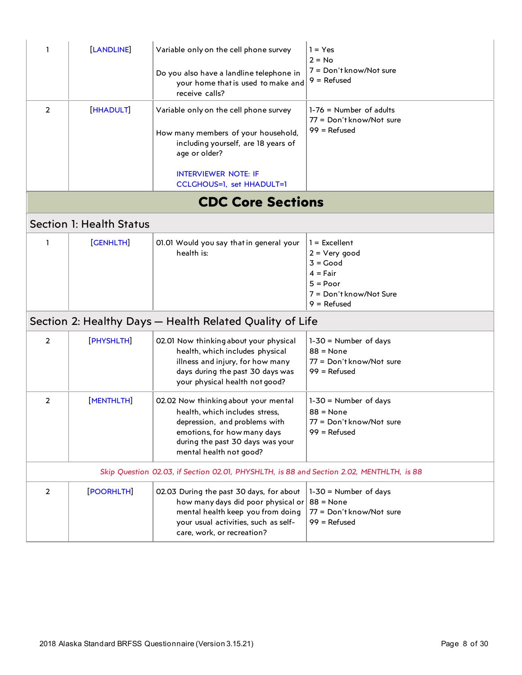<span id="page-7-2"></span><span id="page-7-1"></span><span id="page-7-0"></span>

| ı<br>$\overline{2}$ | [LANDLINE]<br>[HHADULT]  | Variable only on the cell phone survey<br>Do you also have a landline telephone in<br>your home that is used to make and<br>receive calls?<br>Variable only on the cell phone survey<br>How many members of your household,<br>including yourself, are 18 years of<br>age or older?<br><b>INTERVIEWER NOTE: IF</b><br>CCLGHOUS=1, set HHADULT=1 | $1 = Yes$<br>$2 = No$<br>7 = Don't know/Not sure<br>$9 =$ Refused<br>$1-76 =$ Number of adults<br>77 = Don't know/Not sure<br>$99 =$ Refused |
|---------------------|--------------------------|-------------------------------------------------------------------------------------------------------------------------------------------------------------------------------------------------------------------------------------------------------------------------------------------------------------------------------------------------|----------------------------------------------------------------------------------------------------------------------------------------------|
|                     |                          | <b>CDC Core Sections</b>                                                                                                                                                                                                                                                                                                                        |                                                                                                                                              |
|                     | Section 1: Health Status |                                                                                                                                                                                                                                                                                                                                                 |                                                                                                                                              |
| 1                   | [GENHLTH]                | 01.01 Would you say that in general your<br>health is:                                                                                                                                                                                                                                                                                          | $1 =$ Excellent<br>$2 = Very good$<br>$3 = Good$<br>$4 = Fair$<br>$5 = Poor$<br>7 = Don't know/Not Sure<br>$9 =$ Refused                     |
|                     |                          | Section 2: Healthy Days - Health Related Quality of Life                                                                                                                                                                                                                                                                                        |                                                                                                                                              |
| $\overline{2}$      | [PHYSHLTH]               | 02.01 Now thinking about your physical<br>health, which includes physical<br>illness and injury, for how many<br>days during the past 30 days was<br>your physical health not good?                                                                                                                                                             | $1-30$ = Number of days<br>$88 = None$<br>77 = Don't know/Not sure<br>$99 =$ Refused                                                         |
| $\overline{2}$      | <b>MENTHLTH</b>          | 02.02 Now thinking about your mental<br>health, which includes stress,<br>depression, and problems with<br>emotions, for how many days<br>during the past 30 days was your<br>mental health not good?                                                                                                                                           | $1-30$ = Number of days<br>$88 = None$<br>77 = Don't know/Not sure<br>$99 =$ Refused                                                         |
|                     |                          | Skip Question 02.03, if Section 02.01, PHYSHLTH, is 88 and Section 2.02, MENTHLTH, is 88                                                                                                                                                                                                                                                        |                                                                                                                                              |
| $\overline{2}$      | [POORHLTH]               | 02.03 During the past 30 days, for about<br>how many days did poor physical or $ 88 $ = None<br>mental health keep you from doing<br>your usual activities, such as self-<br>care, work, or recreation?                                                                                                                                         | $1-30 =$ Number of days<br>77 = Don't know/Not sure<br>$99 = Refused$                                                                        |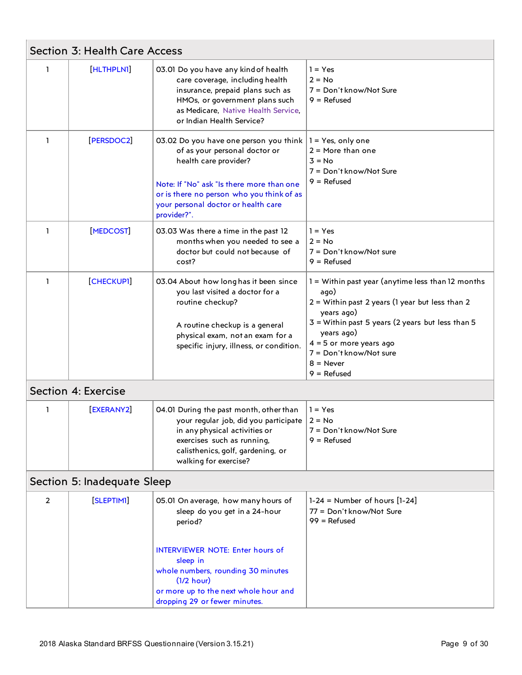<span id="page-8-2"></span><span id="page-8-1"></span><span id="page-8-0"></span>

|                | Section 3: Health Care Access |                                                                                                                                                                                                                                                                        |                                                                                                                                                                                                                                                                                            |
|----------------|-------------------------------|------------------------------------------------------------------------------------------------------------------------------------------------------------------------------------------------------------------------------------------------------------------------|--------------------------------------------------------------------------------------------------------------------------------------------------------------------------------------------------------------------------------------------------------------------------------------------|
| $\mathbf{1}$   | [HLTHPLN1]                    | 03.01 Do you have any kind of health<br>care coverage, including health<br>insurance, prepaid plans such as<br>HMOs, or government plans such<br>as Medicare, Native Health Service,<br>or Indian Health Service?                                                      | $1 = Yes$<br>$2 = No$<br>7 = Don't know/Not Sure<br>$9 =$ Refused                                                                                                                                                                                                                          |
| 1              | [PERSDOC2]                    | 03.02 Do you have one person you think<br>of as your personal doctor or<br>health care provider?<br>Note: If "No" ask "Is there more than one<br>or is there no person who you think of as<br>your personal doctor or health care<br>provider?".                       | $1 = Yes$ , only one<br>$2 = More than one$<br>$3 = No$<br>7 = Don't know/Not Sure<br>$9 =$ Refused                                                                                                                                                                                        |
| 1              | [MEDCOST]                     | 03.03 Was there a time in the past 12<br>months when you needed to see a<br>doctor but could not because of<br>cost?                                                                                                                                                   | $1 = Yes$<br>$2 = No$<br>7 = Don't know/Not sure<br>$9 =$ Refused                                                                                                                                                                                                                          |
| $\mathbf{1}$   | [CHECKUPI]                    | 03.04 About how long has it been since<br>you last visited a doctor for a<br>routine checkup?<br>A routine checkup is a general<br>physical exam, not an exam for a<br>specific injury, illness, or condition.                                                         | $1 =$ Within past year (anytime less than 12 months<br>ago)<br>$2 =$ Within past 2 years (1 year but less than 2<br>years ago)<br>$3$ = Within past 5 years (2 years but less than 5<br>years ago)<br>$4 = 5$ or more years ago<br>7 = Don't know/Not sure<br>$8 =$ Never<br>$9 =$ Refused |
|                | Section 4: Exercise           |                                                                                                                                                                                                                                                                        |                                                                                                                                                                                                                                                                                            |
| L.             | [EXERANY2]                    | 04.01 During the past month, other than<br>your regular job, did you participate $ 2 = No$<br>in any physical activities or<br>exercises such as running,<br>calisthenics, golf, gardening, or<br>walking for exercise?                                                | $1 = Yes$<br>7 = Don't know/Not Sure<br>$9 =$ Refused                                                                                                                                                                                                                                      |
|                | Section 5: Inadequate Sleep   |                                                                                                                                                                                                                                                                        |                                                                                                                                                                                                                                                                                            |
| $\overline{2}$ | [SLEPTIMI]                    | 05.01 On average, how many hours of<br>sleep do you get in a 24-hour<br>period?<br><b>INTERVIEWER NOTE: Enter hours of</b><br>sleep in<br>whole numbers, rounding 30 minutes<br>$(1/2$ hour)<br>or more up to the next whole hour and<br>dropping 29 or fewer minutes. | $1-24$ = Number of hours $[1-24]$<br>77 = Don't know/Not Sure<br>$99 =$ Refused                                                                                                                                                                                                            |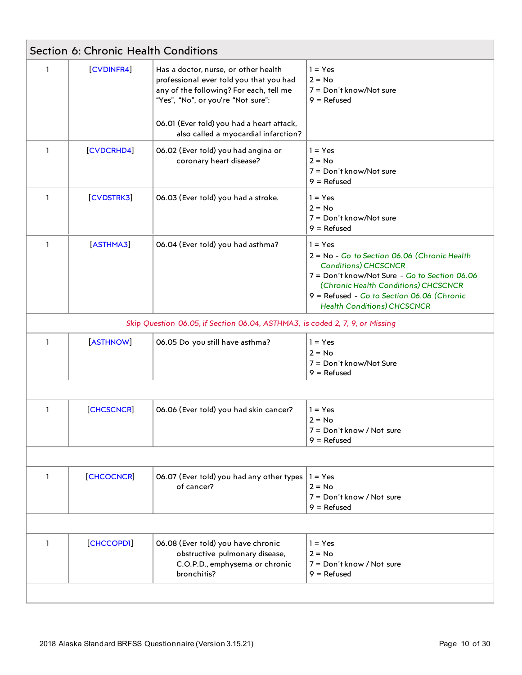<span id="page-9-0"></span>

|              | Section 6: Chronic Health Conditions |                                                                                                                                                                                                               |                                                                                                                                                                                                                                                                       |
|--------------|--------------------------------------|---------------------------------------------------------------------------------------------------------------------------------------------------------------------------------------------------------------|-----------------------------------------------------------------------------------------------------------------------------------------------------------------------------------------------------------------------------------------------------------------------|
| $\mathbf{1}$ | [CVDINFR4]                           | Has a doctor, nurse, or other health<br>professional ever told you that you had<br>any of the following? For each, tell me<br>"Yes", "No", or you're "Not sure":<br>06.01 (Ever told) you had a heart attack, | $1 = Yes$<br>$2 = No$<br>7 = Don't know/Not sure<br>$9 =$ Refused                                                                                                                                                                                                     |
|              |                                      | also called a myocardial infarction?                                                                                                                                                                          |                                                                                                                                                                                                                                                                       |
| 1            | [CVDCRHD4]                           | 06.02 (Ever told) you had angina or<br>coronary heart disease?                                                                                                                                                | $1 = Yes$<br>$2 = No$<br>7 = Don't know/Not sure<br>$9 =$ Refused                                                                                                                                                                                                     |
| $\mathbf{1}$ | [CVDSTRK3]                           | 06.03 (Ever told) you had a stroke.                                                                                                                                                                           | $1 = Yes$<br>$2 = No$<br>7 = Don't know/Not sure<br>$9 =$ Refused                                                                                                                                                                                                     |
| 1            | [ASTHMA3]                            | 06.04 (Ever told) you had asthma?                                                                                                                                                                             | $1 = Yes$<br>2 = No - Go to Section 06.06 (Chronic Health<br><b>Conditions) CHCSCNCR</b><br>7 = Don't know/Not Sure - Go to Section 06.06<br>(Chronic Health Conditions) CHCSCNCR<br>9 = Refused - Go to Section 06.06 (Chronic<br><b>Health Conditions) CHCSCNCR</b> |
|              |                                      | Skip Question 06.05, if Section 06.04, ASTHMA3, is coded 2, 7, 9, or Missing                                                                                                                                  |                                                                                                                                                                                                                                                                       |
| 1            | [ASTHNOW]                            | 06.05 Do you still have asthma?                                                                                                                                                                               | $1 = Yes$<br>$2 = No$<br>7 = Don't know/Not Sure<br>9 = Refused                                                                                                                                                                                                       |
|              |                                      |                                                                                                                                                                                                               |                                                                                                                                                                                                                                                                       |
| 1            | [CHCSCNCR]                           | 06.06 (Ever told) you had skin cancer?                                                                                                                                                                        | $1 = Yes$<br>$2 = No$<br>7 = Don't know / Not sure<br>$9 =$ Refused                                                                                                                                                                                                   |
|              |                                      |                                                                                                                                                                                                               |                                                                                                                                                                                                                                                                       |
| 1            | [CHCOCNCR]                           | 06.07 (Ever told) you had any other types<br>of cancer?                                                                                                                                                       | $1 = Yes$<br>$2 = No$<br>7 = Don't know / Not sure<br>$9 =$ Refused                                                                                                                                                                                                   |
|              |                                      |                                                                                                                                                                                                               |                                                                                                                                                                                                                                                                       |
| 1            | [CHCCOPD1]                           | 06.08 (Ever told) you have chronic<br>obstructive pulmonary disease,<br>C.O.P.D., emphysema or chronic<br>bronchitis?                                                                                         | $1 = Yes$<br>$2 = No$<br>7 = Don't know / Not sure<br>$9 =$ Refused                                                                                                                                                                                                   |
|              |                                      |                                                                                                                                                                                                               |                                                                                                                                                                                                                                                                       |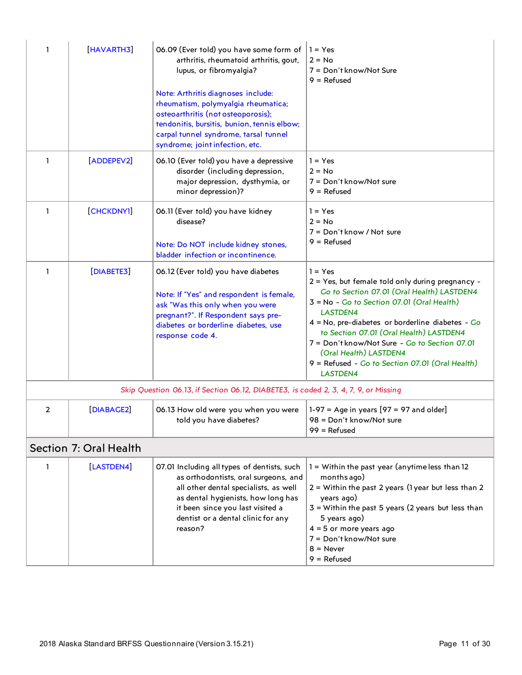<span id="page-10-0"></span>

| 1              | [HAVARTH3]             | 06.09 (Ever told) you have some form of<br>arthritis, rheumatoid arthritis, gout,<br>lupus, or fibromyalgia?<br>Note: Arthritis diagnoses include:<br>rheumatism, polymyalgia rheumatica;<br>osteoarthritis (not osteoporosis);<br>tendonitis, bursitis, bunion, tennis elbow;<br>carpal tunnel syndrome, tarsal tunnel<br>syndrome; joint infection, etc. | $1 = Yes$<br>$2 = No$<br>7 = Don't know/Not Sure<br>$9 =$ Refused                                                                                                                                                                                                                                                                                                                                                 |
|----------------|------------------------|------------------------------------------------------------------------------------------------------------------------------------------------------------------------------------------------------------------------------------------------------------------------------------------------------------------------------------------------------------|-------------------------------------------------------------------------------------------------------------------------------------------------------------------------------------------------------------------------------------------------------------------------------------------------------------------------------------------------------------------------------------------------------------------|
| 1              | [ADDEPEV2]             | 06.10 (Ever told) you have a depressive<br>disorder (including depression,<br>major depression, dysthymia, or<br>minor depression)?                                                                                                                                                                                                                        | $1 = Yes$<br>$2 = No$<br>7 = Don't know/Not sure<br>$9 =$ Refused                                                                                                                                                                                                                                                                                                                                                 |
| 1              | [CHCKDNYI]             | 06.11 (Ever told) you have kidney<br>disease?<br>Note: Do NOT include kidney stones,<br>bladder infection or incontinence.                                                                                                                                                                                                                                 | $1 = Yes$<br>$2 = No$<br>7 = Don't know / Not sure<br>$9 =$ Refused                                                                                                                                                                                                                                                                                                                                               |
| 1              | [DIABETE3]             | 06.12 (Ever told) you have diabetes<br>Note: If "Yes" and respondent is female,<br>ask "Was this only when you were<br>pregnant?". If Respondent says pre-<br>diabetes or borderline diabetes, use<br>response code 4.                                                                                                                                     | $1 = Yes$<br>2 = Yes, but female told only during pregnancy -<br>Go to Section 07.01 (Oral Health) LASTDEN4<br>3 = No - Go to Section 07.01 (Oral Health)<br>LASTDEN4<br>$4 = No$ , pre-diabetes or borderline diabetes - Go<br>to Section 07.01 (Oral Health) LASTDEN4<br>7 = Don't know/Not Sure - Go to Section 07.01<br>(Oral Health) LASTDEN4<br>9 = Refused - Go to Section 07.01 (Oral Health)<br>LASTDEN4 |
|                |                        | Skip Question 06.13, if Section 06.12, DIABETE3, is coded 2, 3, 4, 7, 9, or Missing                                                                                                                                                                                                                                                                        |                                                                                                                                                                                                                                                                                                                                                                                                                   |
| $\overline{2}$ | [DIABAGE2]             | 06.13 How old were you when you were<br>told you have diabetes?                                                                                                                                                                                                                                                                                            | $1-97$ = Age in years $[97 = 97$ and older]<br>98 = Don't know/Not sure<br>$99 =$ Refused                                                                                                                                                                                                                                                                                                                         |
|                | Section 7: Oral Health |                                                                                                                                                                                                                                                                                                                                                            |                                                                                                                                                                                                                                                                                                                                                                                                                   |
| 1              | [LASTDEN4]             | 07.01 Including all types of dentists, such<br>as orthodontists, oral surgeons, and<br>all other dental specialists, as well<br>as dental hygienists, how long has<br>it been since you last visited a<br>dentist or a dental clinic for any<br>reason?                                                                                                    | $1 =$ Within the past year (anytime less than $12$<br>months ago)<br>$2 =$ Within the past 2 years (1 year but less than 2<br>years ago)<br>$3$ = Within the past 5 years (2 years but less than<br>5 years ago)<br>$4 = 5$ or more years ago<br>7 = Don't know/Not sure<br>$8 =$ Never<br>$9 =$ Refused                                                                                                          |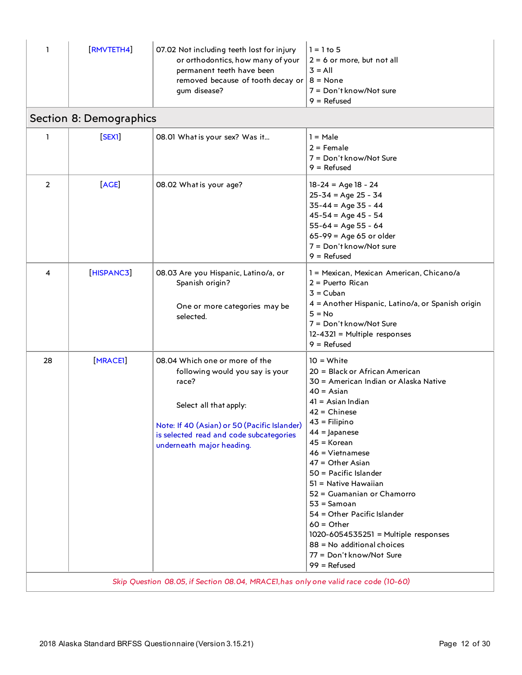<span id="page-11-0"></span>

| ı              | <b>RMVTETH4</b>         | 07.02 Not including teeth lost for injury<br>or orthodontics, how many of your<br>permanent teeth have been<br>removed because of tooth decay or $ 8 =$ None<br>gum disease?                                                                                                                                        | $1 = 1 to 5$<br>$2 = 6$ or more, but not all<br>$3 = AII$<br>7 = Don't know/Not sure<br>$9 =$ Refused                                                                                                                                                                                                                                                                                                                                                                                                                   |
|----------------|-------------------------|---------------------------------------------------------------------------------------------------------------------------------------------------------------------------------------------------------------------------------------------------------------------------------------------------------------------|-------------------------------------------------------------------------------------------------------------------------------------------------------------------------------------------------------------------------------------------------------------------------------------------------------------------------------------------------------------------------------------------------------------------------------------------------------------------------------------------------------------------------|
|                | Section 8: Demographics |                                                                                                                                                                                                                                                                                                                     |                                                                                                                                                                                                                                                                                                                                                                                                                                                                                                                         |
| $\mathbf{1}$   | <b>SEX1</b>             | 08.01 What is your sex? Was it                                                                                                                                                                                                                                                                                      | $1 = Male$<br>$2 =$ Female<br>7 = Don't know/Not Sure<br>$9 =$ Refused                                                                                                                                                                                                                                                                                                                                                                                                                                                  |
| $\overline{2}$ | <b>AGE</b>              | 08.02 What is your age?                                                                                                                                                                                                                                                                                             | $18-24 = Age 18 - 24$<br>$25-34 = Age 25 - 34$<br>$35-44 = Age 35 - 44$<br>$45-54 = Age 45 - 54$<br>$55-64 = Age 55 - 64$<br>$65-99 = Age 65$ or older<br>7 = Don't know/Not sure<br>$9 =$ Refused                                                                                                                                                                                                                                                                                                                      |
| 4              | [HISPANC3]              | 08.03 Are you Hispanic, Latino/a, or<br>Spanish origin?<br>One or more categories may be<br>selected.                                                                                                                                                                                                               | 1 = Mexican, Mexican American, Chicano/a<br>$2$ = Puerto Rican<br>$3 = Cuban$<br>4 = Another Hispanic, Latino/a, or Spanish origin<br>$5 = No$<br>7 = Don't know/Not Sure<br>12-4321 = Multiple responses<br>$9 =$ Refused                                                                                                                                                                                                                                                                                              |
| 28             | [MRACEI]                | 08.04 Which one or more of the<br>following would you say is your<br>race?<br>Select all that apply:<br>Note: If 40 (Asian) or 50 (Pacific Islander)<br>is selected read and code subcategories<br>underneath major heading.<br>Skip Question 08.05, if Section 08.04, MRACEI, has only one valid race code (10-60) | $10 = White$<br>20 = Black or African American<br>30 = American Indian or Alaska Native<br>$40 = Asian$<br>$41 =$ Asian Indian<br>$42 =$ Chinese<br>$43$ = Filipino<br>$44 =$ Japanese<br>$45 =$ Korean<br>$46$ = Vietnamese<br>$47 =$ Other Asian<br>50 = Pacific Islander<br>51 = Native Hawaiian<br>52 = Guamanian or Chamorro<br>$53 =$ Samoan<br>54 = Other Pacific Islander<br>$60 =$ Other<br>1020-6054535251 = Multiple responses<br>$88 = No$ additional choices<br>77 = Don't know/Not Sure<br>$99 =$ Refused |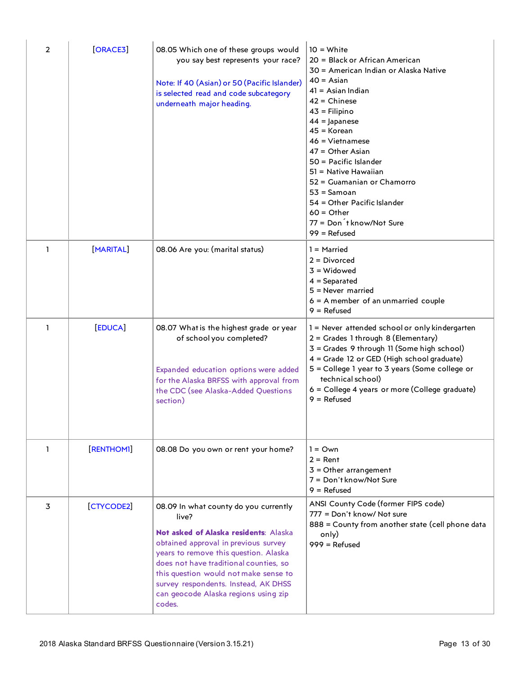| 2 | [ORACES]        | 08.05 Which one of these groups would<br>you say best represents your race?<br>Note: If 40 (Asian) or 50 (Pacific Islander)<br>is selected read and code subcategory<br>underneath major heading.                                                                                                                                                     | $10 = White$<br>20 = Black or African American<br>30 = American Indian or Alaska Native<br>$40 = Asian$<br>$41 =$ Asian Indian<br>$42 =$ Chinese<br>$43$ = Filipino<br>$44 =$ Japanese<br>$45 =$ Korean<br>$46$ = Vietnamese<br>$47 =$ Other Asian<br>$50$ = Pacific Islander<br>51 = Native Hawaiian<br>52 = Guamanian or Chamorro<br>$53 =$ Samoan<br>54 = Other Pacific Islander<br>$60 = Other$<br>77 = Don t know/Not Sure<br>$99 =$ Refused |
|---|-----------------|-------------------------------------------------------------------------------------------------------------------------------------------------------------------------------------------------------------------------------------------------------------------------------------------------------------------------------------------------------|---------------------------------------------------------------------------------------------------------------------------------------------------------------------------------------------------------------------------------------------------------------------------------------------------------------------------------------------------------------------------------------------------------------------------------------------------|
| 1 | <b>MARITALI</b> | 08.06 Are you: (marital status)                                                                                                                                                                                                                                                                                                                       | $1 =$ Married<br>$2 = Divorced$<br>$3 = Widowed$<br>$4 =$ Separated<br>$5$ = Never married<br>$6 = A$ member of an unmarried couple<br>$9 =$ Refused                                                                                                                                                                                                                                                                                              |
| 1 | <b>EDUCA</b>    | 08.07 What is the highest grade or year<br>of school you completed?<br>Expanded education options were added<br>for the Alaska BRFSS with approval from<br>the CDC (see Alaska-Added Questions<br>section)                                                                                                                                            | 1 = Never attended school or only kindergarten<br>$2 =$ Grades 1 through 8 (Elementary)<br>3 = Grades 9 through 11 (Some high school)<br>4 = Grade 12 or GED (High school graduate)<br>5 = College 1 year to 3 years (Some college or<br>technical school)<br>6 = College 4 years or more (College graduate)<br>$9 =$ Refused                                                                                                                     |
| ı | [RENTHOMI]      | 08.08 Do you own or rent your home?                                                                                                                                                                                                                                                                                                                   | $1 = Own$<br>$2 =$ Rent<br>$3 =$ Other arrangement<br>7 = Don't know/Not Sure<br>$9 =$ Refused                                                                                                                                                                                                                                                                                                                                                    |
| 3 | [CTYCODE2]      | 08.09 In what county do you currently<br>live?<br>Not asked of Alaska residents: Alaska<br>obtained approval in previous survey<br>years to remove this question. Alaska<br>does not have traditional counties, so<br>this question would not make sense to<br>survey respondents. Instead, AK DHSS<br>can geocode Alaska regions using zip<br>codes. | ANSI County Code (former FIPS code)<br>777 = Don't know/ Not sure<br>888 = County from another state (cell phone data<br>only)<br>$999 =$ Refused                                                                                                                                                                                                                                                                                                 |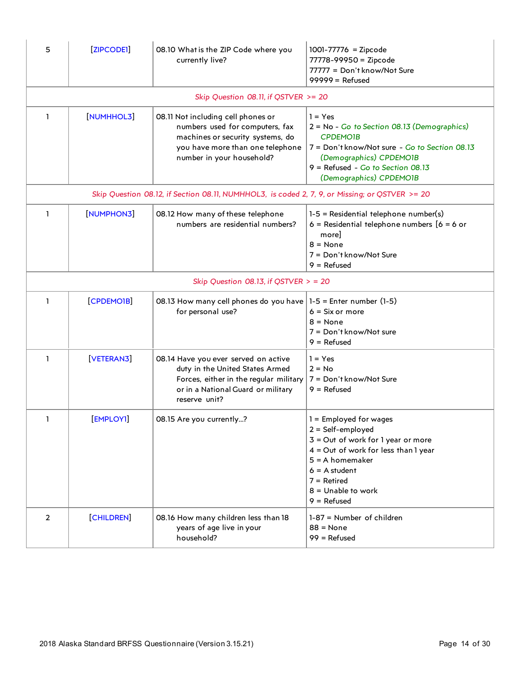| 5              | [ZIPCODE1]        | 08.10 What is the ZIP Code where you<br>currently live?                                                                                                                    | 1001-77776 = Zipcode<br>77778-99950 = Zipcode<br>77777 = Don't know/Not Sure<br>$99999 =$ Refused                                                                                                                                    |
|----------------|-------------------|----------------------------------------------------------------------------------------------------------------------------------------------------------------------------|--------------------------------------------------------------------------------------------------------------------------------------------------------------------------------------------------------------------------------------|
|                |                   | Skip Question 08.11, if QSTVER >= 20                                                                                                                                       |                                                                                                                                                                                                                                      |
| $\mathbf{1}$   | [NUMHHOL3]        | 08.11 Not including cell phones or<br>numbers used for computers, fax<br>machines or security systems, do<br>you have more than one telephone<br>number in your household? | $1 = Yes$<br>2 = No - Go to Section 08.13 (Demographics)<br><b>CPDEMOIB</b><br>7 = Don't know/Not sure - Go to Section 08.13<br>(Demographics) CPDEMO1B<br>9 = Refused - Go to Section 08.13<br>(Demographics) CPDEMOIB              |
|                |                   | Skip Question 08.12, if Section 08.11, NUMHHOL3, is coded 2, 7, 9, or Missing; or QSTVER >= 20                                                                             |                                                                                                                                                                                                                                      |
| 1              | [NUMPHON3]        | 08.12 How many of these telephone<br>numbers are residential numbers?                                                                                                      | $1-5$ = Residential telephone number(s)<br>$6$ = Residential telephone numbers $[6 = 6$ or<br>more]<br>$8 = None$<br>7 = Don't know/Not Sure<br>$9 =$ Refused                                                                        |
|                |                   | Skip Question 08.13, if QSTVER $>$ = 20                                                                                                                                    |                                                                                                                                                                                                                                      |
| ı              | [CPDEMOIB]        | 08.13 How many cell phones do you have $ 1-5 $ = Enter number (1-5)<br>for personal use?                                                                                   | $6 = Six or more$<br>$8 = None$<br>7 = Don't know/Not sure<br>$9 =$ Refused                                                                                                                                                          |
| ı              | [VETERAN3]        | 08.14 Have you ever served on active<br>duty in the United States Armed<br>Forces, either in the regular military<br>or in a National Guard or military<br>reserve unit?   | $1 = Yes$<br>$2 = No$<br>7 = Don't know/Not Sure<br>$9 =$ Refused                                                                                                                                                                    |
| 1              | <b>EMPLOY1</b>    | 08.15 Are you currently?                                                                                                                                                   | $1 =$ Employed for wages<br>$2 = Self$ -employed<br>$3 =$ Out of work for 1 year or more<br>$4 = Out of work for less than 1 year$<br>$5 = A$ homemaker<br>$6 = A$ student<br>$7 =$ Retired<br>$8 =$ Unable to work<br>$9 =$ Refused |
| $\overline{2}$ | <b>[CHILDREN]</b> | 08.16 How many children less than 18<br>years of age live in your<br>household?                                                                                            | $1-87 =$ Number of children<br>$88 = None$<br>$99 =$ Refused                                                                                                                                                                         |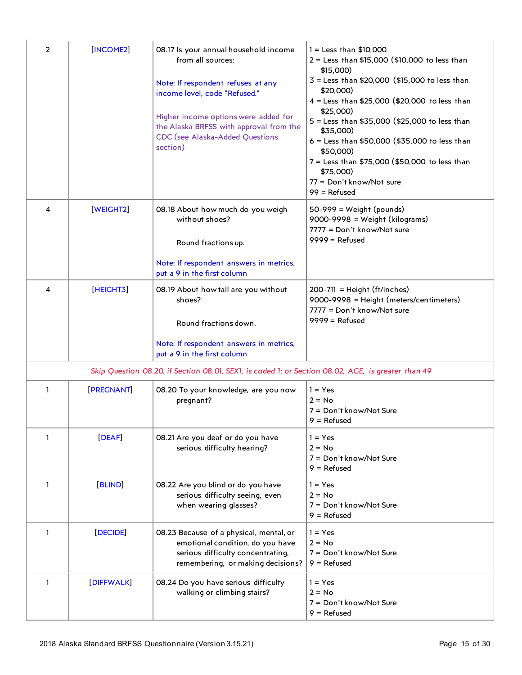| $\overline{2}$ | [INCOME2]    | 08.17 Is your annual household income<br>from all sources:                                                                                            | $1 =$ Less than \$10,000<br>$2 =$ Less than \$15,000 (\$10,000 to less than<br>\$15,000)                    |
|----------------|--------------|-------------------------------------------------------------------------------------------------------------------------------------------------------|-------------------------------------------------------------------------------------------------------------|
|                |              | Note: If respondent refuses at any<br>income level, code "Refused."                                                                                   | 3 = Less than \$20,000 (\$15,000 to less than<br>\$20,000)<br>4 = Less than \$25,000 (\$20,000 to less than |
|                |              | Higher income options were added for<br>the Alaska BRFSS with approval from the                                                                       | \$25,000)<br>5 = Less than \$35,000 (\$25,000 to less than                                                  |
|                |              | CDC (see Alaska-Added Questions<br>section)                                                                                                           | \$35,000)<br>$6 =$ Less than \$50,000 (\$35,000 to less than<br>\$50,000)                                   |
|                |              |                                                                                                                                                       | 7 = Less than \$75,000 (\$50,000 to less than<br>\$75,000)                                                  |
|                |              |                                                                                                                                                       | 77 = Don't know/Not sure<br>$99 =$ Refused                                                                  |
| 4              | [WEIGHT2]    | 08.18 About how much do you weigh<br>without shoes?                                                                                                   | $50-999$ = Weight (pounds)<br>$9000 - 9998 = Weight (kilograms)$<br>7777 = Don't know/Not sure              |
|                |              | Round fractions up.                                                                                                                                   | $9999 =$ Refused                                                                                            |
|                |              | Note: If respondent answers in metrics,<br>put a 9 in the first column                                                                                |                                                                                                             |
| 4              | [HEIGHT3]    | 08.19 About how tall are you without<br>shoes?                                                                                                        | $200-711$ = Height (ft/inches)<br>9000-9998 = Height (meters/centimeters)<br>7777 = Don't know/Not sure     |
|                |              | Round fractions down.                                                                                                                                 | $9999 =$ Refused                                                                                            |
|                |              | Note: If respondent answers in metrics,<br>put a 9 in the first column                                                                                |                                                                                                             |
|                |              | Skip Question 08.20, if Section 08.01, SEX1, is coded 1; or Section 08.02, AGE, is greater than 49                                                    |                                                                                                             |
| 1              | [PREGNANT]   | 08.20 To your knowledge, are you now<br>pregnant?                                                                                                     | $1 = Yes$<br>$2 = No$<br>7 = Don't know/Not Sure<br>$9 =$ Refused                                           |
| ı              | <b>DEAF</b>  | 08.21 Are you deaf or do you have<br>serious difficulty hearing?                                                                                      | $1 = Yes$<br>$2 = No$<br>7 = Don't know/Not Sure<br>$9 =$ Refused                                           |
| ı              | <b>BLIND</b> | 08.22 Are you blind or do you have<br>serious difficulty seeing, even<br>when wearing glasses?                                                        | $1 = Yes$<br>$2 = No$<br>7 = Don't know/Not Sure<br>$9 =$ Refused                                           |
| ı              | [DECIDE]     | 08.23 Because of a physical, mental, or<br>emotional condition, do you have<br>serious difficulty concentrating,<br>remembering, or making decisions? | $1 = Yes$<br>$2 = No$<br>7 = Don't know/Not Sure<br>$9 =$ Refused                                           |
| $\mathbf{1}$   | [DIFFWALK]   | 08.24 Do you have serious difficulty<br>walking or climbing stairs?                                                                                   | $1 = Yes$<br>$2 = No$<br>7 = Don't know/Not Sure<br>$9 =$ Refused                                           |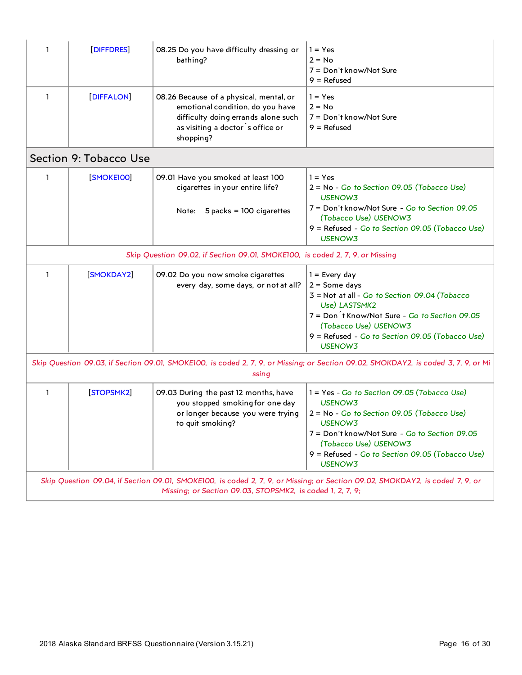<span id="page-15-0"></span>

| 1                                                                                                                                                                                         | [DIFFDRES]                    | 08.25 Do you have difficulty dressing or<br>bathing?                                                                                                                | $1 = Yes$<br>$2 = No$<br>7 = Don't know/Not Sure<br>$9 =$ Refused                                                                                                                                                                                              |
|-------------------------------------------------------------------------------------------------------------------------------------------------------------------------------------------|-------------------------------|---------------------------------------------------------------------------------------------------------------------------------------------------------------------|----------------------------------------------------------------------------------------------------------------------------------------------------------------------------------------------------------------------------------------------------------------|
| 1                                                                                                                                                                                         | [DIFFALON]                    | 08.26 Because of a physical, mental, or<br>emotional condition, do you have<br>difficulty doing errands alone such<br>as visiting a doctor s office or<br>shopping? | $1 = Yes$<br>$2 = No$<br>7 = Don't know/Not Sure<br>$9 =$ Refused                                                                                                                                                                                              |
|                                                                                                                                                                                           | <b>Section 9: Tobacco Use</b> |                                                                                                                                                                     |                                                                                                                                                                                                                                                                |
| 1                                                                                                                                                                                         | [SMOKE100]                    | 09.01 Have you smoked at least 100<br>cigarettes in your entire life?<br>$5$ packs = 100 cigarettes<br>Note:                                                        | $1 = Yes$<br>2 = No - Go to Section 09.05 (Tobacco Use)<br><b>USENOW3</b><br>7 = Don't know/Not Sure - Go to Section 09.05<br>(Tobacco Use) USENOW3<br>9 = Refused - Go to Section 09.05 (Tobacco Use)<br><b>USENOW3</b>                                       |
|                                                                                                                                                                                           |                               | Skip Question 09.02, if Section 09.01, SMOKE100, is coded 2, 7, 9, or Missing                                                                                       |                                                                                                                                                                                                                                                                |
| 1                                                                                                                                                                                         | [SMOKDAY2]                    | 09.02 Do you now smoke cigarettes<br>every day, some days, or not at all?                                                                                           | $1 = Every day$<br>$2 = Some days$<br>3 = Not at all - Go to Section 09.04 (Tobacco<br>Use) LASTSMK2<br>7 = Don t Know/Not Sure - Go to Section 09.05<br>(Tobacco Use) USENOW3<br>9 = Refused - Go to Section 09.05 (Tobacco Use)<br>USENOW3                   |
|                                                                                                                                                                                           |                               | ssing                                                                                                                                                               | Skip Question 09.03, if Section 09.01, SMOKE100, is coded 2, 7, 9, or Missing; or Section 09.02, SMOKDAY2, is coded 3, 7, 9, or Mi                                                                                                                             |
| 1                                                                                                                                                                                         | <b>STOPSMK2</b>               | 09.03 During the past 12 months, have<br>you stopped smoking for one day<br>or longer because you were trying<br>to quit smoking?                                   | 1 = Yes - Go to Section 09.05 (Tobacco Use)<br><b>USENOW3</b><br>2 = No - Go to Section 09.05 (Tobacco Use)<br>USENOW3<br>7 = Don't know/Not Sure - Go to Section 09.05<br>(Tobacco Use) USENOW3<br>9 = Refused - Go to Section 09.05 (Tobacco Use)<br>USENOW3 |
| Skip Question 09.04, if Section 09.01, SMOKE100, is coded 2, 7, 9, or Missing; or Section 09.02, SMOKDAY2, is coded 7, 9, or<br>Missing; or Section 09.03, STOPSMK2, is coded 1, 2, 7, 9; |                               |                                                                                                                                                                     |                                                                                                                                                                                                                                                                |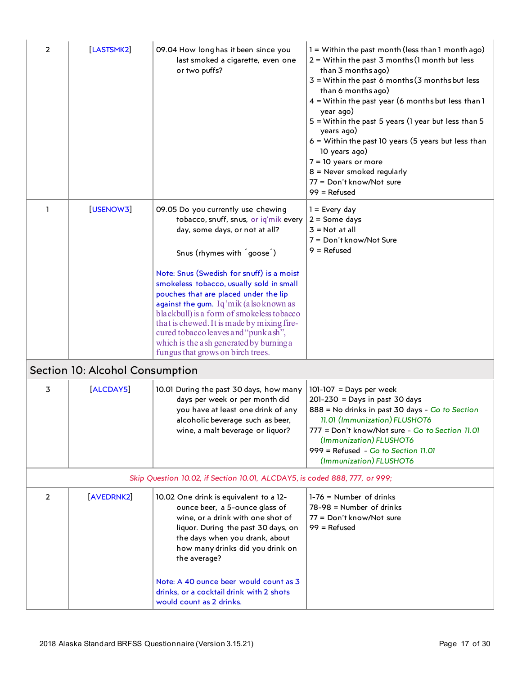| $\overline{2}$ | [LASTSMK2]                      | 09.04 How long has it been since you<br>last smoked a cigarette, even one<br>or two puffs?                                                                                                                                                                                                                                                                                                                                                                                                                                                 | $1 =$ Within the past month (less than 1 month ago)<br>$2 =$ Within the past 3 months (1 month but less<br>than 3 months ago)<br>$3$ = Within the past 6 months (3 months but less<br>than 6 months ago)<br>$4 =$ Within the past year (6 months but less than 1<br>year ago)<br>5 = Within the past 5 years (1 year but less than 5<br>years ago)<br>$6 =$ Within the past 10 years (5 years but less than<br>10 years ago)<br>$7 = 10$ years or more<br>$8$ = Never smoked regularly<br>77 = Don't know/Not sure<br>$99 =$ Refused |
|----------------|---------------------------------|--------------------------------------------------------------------------------------------------------------------------------------------------------------------------------------------------------------------------------------------------------------------------------------------------------------------------------------------------------------------------------------------------------------------------------------------------------------------------------------------------------------------------------------------|--------------------------------------------------------------------------------------------------------------------------------------------------------------------------------------------------------------------------------------------------------------------------------------------------------------------------------------------------------------------------------------------------------------------------------------------------------------------------------------------------------------------------------------|
| 1              | [USENOW3]                       | 09.05 Do you currently use chewing<br>tobacco, snuff, snus, or iq'mik every<br>day, some days, or not at all?<br>Snus (rhymes with goose)<br>Note: Snus (Swedish for snuff) is a moist<br>smokeless tobacco, usually sold in small<br>pouches that are placed under the lip<br>against the gum. $Iq'mik$ (also known as<br>blackbull) is a form of smokeless tobacco<br>that is chewed. It is made by mixing fire-<br>cured to baccoleaves and "punk ash",<br>which is the ash generated by burning a<br>fungus that grows on birch trees. | $1 = Every day$<br>$2 = Some days$<br>$3 = Not at all$<br>7 = Don't know/Not Sure<br>$9 =$ Refused                                                                                                                                                                                                                                                                                                                                                                                                                                   |
|                | Section 10: Alcohol Consumption |                                                                                                                                                                                                                                                                                                                                                                                                                                                                                                                                            |                                                                                                                                                                                                                                                                                                                                                                                                                                                                                                                                      |
| 3              | [ALCDAY5]                       | 10.01 During the past 30 days, how many<br>days per week or per month did<br>you have at least one drink of any<br>alcoholic beverage such as beer,<br>wine, a malt beverage or liquor?                                                                                                                                                                                                                                                                                                                                                    | $101-107$ = Days per week<br>$201-230$ = Days in past 30 days<br>888 = No drinks in past 30 days - Go to Section<br>11.01 (Immunization) FLUSHOT6<br>777 = Don't know/Not sure - Go to Section 11.01<br>(Immunization) FLUSHOT6<br>999 = Refused - Go to Section 11.01<br>(Immunization) FLUSHOT6                                                                                                                                                                                                                                    |
|                |                                 | Skip Question 10.02, if Section 10.01, ALCDAY5, is coded 888, 777, or 999;                                                                                                                                                                                                                                                                                                                                                                                                                                                                 |                                                                                                                                                                                                                                                                                                                                                                                                                                                                                                                                      |
| $\overline{2}$ | <b>AVEDRNK2</b>                 | 10.02 One drink is equivalent to a 12-<br>ounce beer, a 5-ounce glass of<br>wine, or a drink with one shot of<br>liquor. During the past 30 days, on<br>the days when you drank, about<br>how many drinks did you drink on<br>the average?<br>Note: A 40 ounce beer would count as 3<br>drinks, or a cocktail drink with 2 shots<br>would count as 2 drinks.                                                                                                                                                                               | $1-76 =$ Number of drinks<br>$78-98$ = Number of drinks<br>77 = Don't know/Not sure<br>$99 =$ Refused                                                                                                                                                                                                                                                                                                                                                                                                                                |

<span id="page-16-0"></span> $\mathbf{r}$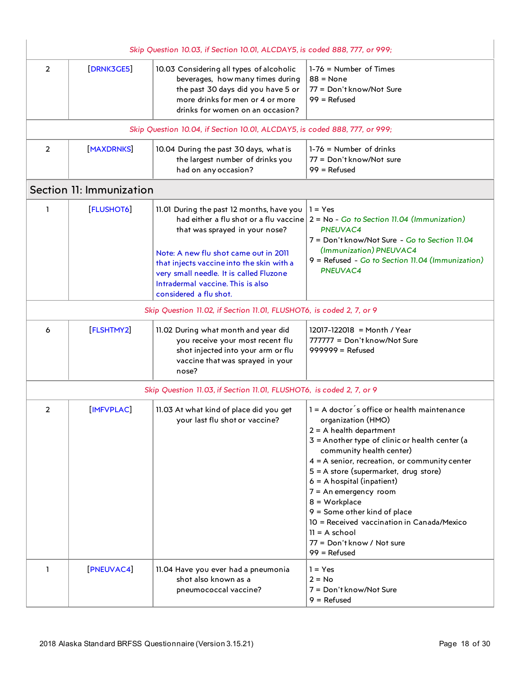<span id="page-17-0"></span>

|                |                          | Skip Question 10.03, if Section 10.01, ALCDAY5, is coded 888, 777, or 999;                                                                                                                                                                                                  |                                                                                                                                                                                                                                                                                                                                                                                                                                                                                                                 |
|----------------|--------------------------|-----------------------------------------------------------------------------------------------------------------------------------------------------------------------------------------------------------------------------------------------------------------------------|-----------------------------------------------------------------------------------------------------------------------------------------------------------------------------------------------------------------------------------------------------------------------------------------------------------------------------------------------------------------------------------------------------------------------------------------------------------------------------------------------------------------|
| $\overline{2}$ | [DRNK3GE5]               | 10.03 Considering all types of alcoholic<br>beverages, how many times during<br>the past 30 days did you have 5 or<br>more drinks for men or 4 or more<br>drinks for women on an occasion?                                                                                  | $1-76$ = Number of Times<br>$88 = None$<br>77 = Don't know/Not Sure<br>$99 =$ Refused                                                                                                                                                                                                                                                                                                                                                                                                                           |
|                |                          | Skip Question 10.04, if Section 10.01, ALCDAY5, is coded 888, 777, or 999;                                                                                                                                                                                                  |                                                                                                                                                                                                                                                                                                                                                                                                                                                                                                                 |
| 2              | [MAXDRNKS]               | 10.04 During the past 30 days, what is<br>the largest number of drinks you<br>had on any occasion?                                                                                                                                                                          | $1-76$ = Number of drinks<br>77 = Don't know/Not sure<br>$99 =$ Refused                                                                                                                                                                                                                                                                                                                                                                                                                                         |
|                | Section 11: Immunization |                                                                                                                                                                                                                                                                             |                                                                                                                                                                                                                                                                                                                                                                                                                                                                                                                 |
| 1              | [FLUSHOT6]               | 11.01 During the past 12 months, have you<br>that was sprayed in your nose?<br>Note: A new flu shot came out in 2011<br>that injects vaccine into the skin with a<br>very small needle. It is called Fluzone<br>Intradermal vaccine. This is also<br>considered a flu shot. | $1 = Yes$<br>had either a flu shot or a flu vaccine $2 = No - Co$ to Section 11.04 (Immunization)<br>PNEUVAC4<br>7 = Don't know/Not Sure - Go to Section 11.04<br>(Immunization) PNEUVAC4<br>9 = Refused - Go to Section 11.04 (Immunization)<br>PNEUVAC4                                                                                                                                                                                                                                                       |
|                |                          | Skip Question 11.02, if Section 11.01, FLUSHOT6, is coded 2, 7, or 9                                                                                                                                                                                                        |                                                                                                                                                                                                                                                                                                                                                                                                                                                                                                                 |
| 6              | [FLSHTMY2]               | 11.02 During what month and year did<br>you receive your most recent flu<br>shot injected into your arm or flu<br>vaccine that was sprayed in your<br>nose?                                                                                                                 | 12017-122018 = Month / Year<br>777777 = Don't know/Not Sure<br>$999999 =$ Refused                                                                                                                                                                                                                                                                                                                                                                                                                               |
|                |                          | Skip Question 11.03, if Section 11.01, FLUSHOT6, is coded 2, 7, or 9                                                                                                                                                                                                        |                                                                                                                                                                                                                                                                                                                                                                                                                                                                                                                 |
| $\overline{2}$ | [IMFVPLAC]               | 11.03 At what kind of place did you get<br>your last flu shot or vaccine?                                                                                                                                                                                                   | $1 = A$ doctor $s$ office or health maintenance<br>organization (HMO)<br>$2 = A$ health department<br>$3$ = Another type of clinic or health center (a<br>community health center)<br>$4 = A$ senior, recreation, or community center<br>5 = A store (supermarket, drug store)<br>$6 = A$ hospital (inpatient)<br>$7 = An emergency room$<br>$8 = Workplace$<br>$9 =$ Some other kind of place<br>10 = Received vaccination in Canada/Mexico<br>$11 = A$ school<br>77 = Don't know / Not sure<br>$99 =$ Refused |
| ı              | <b>PNEUVAC4</b>          | 11.04 Have you ever had a pneumonia<br>shot also known as a<br>pneumococcal vaccine?                                                                                                                                                                                        | $1 = Yes$<br>$2 = No$<br>7 = Don't know/Not Sure<br>$9 =$ Refused                                                                                                                                                                                                                                                                                                                                                                                                                                               |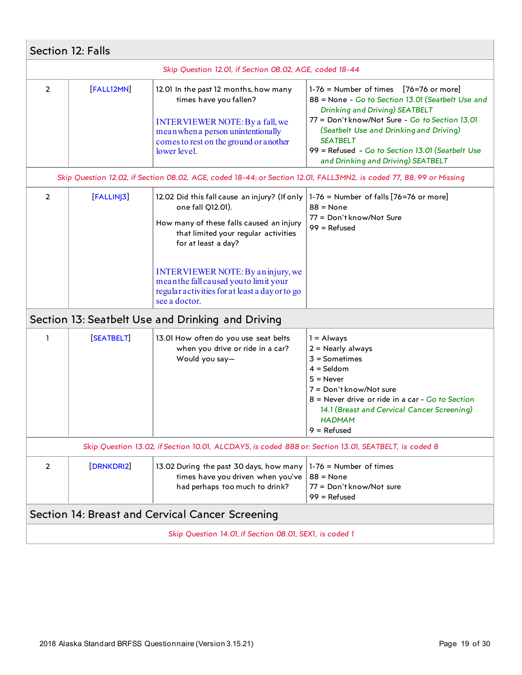<span id="page-18-2"></span><span id="page-18-1"></span><span id="page-18-0"></span>

| <b>Section 12: Falls</b> |                                                         |                                                                                                                                                                                                                            |                                                                                                                                                                                                                                                                                                                                             |  |
|--------------------------|---------------------------------------------------------|----------------------------------------------------------------------------------------------------------------------------------------------------------------------------------------------------------------------------|---------------------------------------------------------------------------------------------------------------------------------------------------------------------------------------------------------------------------------------------------------------------------------------------------------------------------------------------|--|
|                          |                                                         | Skip Question 12.01, if Section 08.02, AGE, coded 18-44                                                                                                                                                                    |                                                                                                                                                                                                                                                                                                                                             |  |
| $\overline{2}$           | <b>FALL12MN</b>                                         | 12.01 In the past 12 months, how many<br>times have you fallen?<br><b>INTERVIEWER NOTE: By a fall, we</b><br>mean when a person unintentionally<br>comes to rest on the ground or another<br>lower level.                  | $1-76$ = Number of times $[76=76$ or more]<br>88 = None - Go to Section 13.01 (Seatbelt Use and<br>Drinking and Driving) SEATBELT<br>77 = Don't know/Not Sure - Go to Section 13.01<br>(Seatbelt Use and Drinking and Driving)<br><b>SEATBELT</b><br>99 = Refused - Go to Section 13.01 (Seatbelt Use<br>and Drinking and Driving) SEATBELT |  |
|                          |                                                         |                                                                                                                                                                                                                            | Skip Question 12.02, if Section 08.02, AGE, coded 18-44; or Section 12.01, FALL3MN2, is coded 77, 88, 99 or Missing                                                                                                                                                                                                                         |  |
| $\overline{2}$           | [FALLINJ3]                                              | 12.02 Did this fall cause an injury? (If only<br>one fall Q12.01).<br>How many of these falls caused an injury<br>that limited your regular activities<br>for at least a day?<br><b>INTERVIEWER NOTE: By an injury, we</b> | $1-76$ = Number of falls $[76=76$ or more]<br>$88 = None$<br>77 = Don't know/Not Sure<br>$99 =$ Refused                                                                                                                                                                                                                                     |  |
|                          |                                                         | mean the fall caused you to limit your<br>regular activities for at least a day or to go<br>see a doctor.                                                                                                                  |                                                                                                                                                                                                                                                                                                                                             |  |
|                          |                                                         | Section 13: Seatbelt Use and Drinking and Driving                                                                                                                                                                          |                                                                                                                                                                                                                                                                                                                                             |  |
| 1                        | [SEATBELT]                                              | 13.01 How often do you use seat belts<br>when you drive or ride in a car?<br>Would you say-                                                                                                                                | $1 =$ Always<br>$2 =$ Nearly always<br>$3 =$ Sometimes<br>$4 =$ Seldom<br>$5 =$ Never<br>7 = Don't know/Not sure<br>$8$ = Never drive or ride in a car - Go to Section<br>14.1 (Breast and Cervical Cancer Screening)<br><b>HADMAM</b><br>$9 =$ Refused                                                                                     |  |
|                          |                                                         | Skip Question 13.02, if Section 10.01, ALCDAY5, is coded 888 or: Section 13.01, SEATBELT, is coded 8                                                                                                                       |                                                                                                                                                                                                                                                                                                                                             |  |
| 2                        | [DRNKDRI2]                                              | 13.02 During the past 30 days, how many<br>times have you driven when you've<br>had perhaps too much to drink?                                                                                                             | $1-76$ = Number of times<br>$88 = None$<br>77 = Don't know/Not sure<br>$99 =$ Refused                                                                                                                                                                                                                                                       |  |
|                          |                                                         | Section 14: Breast and Cervical Cancer Screening                                                                                                                                                                           |                                                                                                                                                                                                                                                                                                                                             |  |
|                          | Skip Question 14.01, if Section 08.01, SEX1, is coded 1 |                                                                                                                                                                                                                            |                                                                                                                                                                                                                                                                                                                                             |  |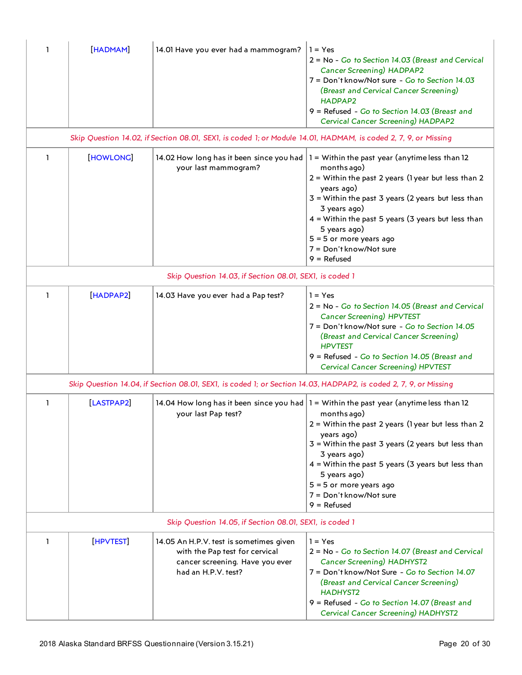| ı | [HADMAM]   | 14.01 Have you ever had a mammogram?                                                                                                | $1 = Yes$<br>2 = No - Go to Section 14.03 (Breast and Cervical<br>Cancer Screening) HADPAP2<br>7 = Don't know/Not sure - Go to Section 14.03<br>(Breast and Cervical Cancer Screening)<br>HADPAP2<br>9 = Refused - Go to Section 14.03 (Breast and<br>Cervical Cancer Screening) HADPAP2                                                                                                                    |
|---|------------|-------------------------------------------------------------------------------------------------------------------------------------|-------------------------------------------------------------------------------------------------------------------------------------------------------------------------------------------------------------------------------------------------------------------------------------------------------------------------------------------------------------------------------------------------------------|
|   |            | Skip Question 14.02, if Section 08.01, SEX1, is coded 1; or Module 14.01, HADMAM, is coded 2, 7, 9, or Missing                      |                                                                                                                                                                                                                                                                                                                                                                                                             |
| L | [HOWLONG]  | your last mammogram?                                                                                                                | 14.02 How long has it been since you had $ 1 =$ Within the past year (anytime less than 12<br>months ago)<br>$2 =$ Within the past 2 years (1 year but less than 2<br>years ago)<br>$3$ = Within the past $3$ years (2 years but less than<br>3 years ago)<br>$4$ = Within the past 5 years (3 years but less than<br>5 years ago)<br>$5 = 5$ or more years ago<br>7 = Don't know/Not sure<br>$9 =$ Refused |
|   |            | Skip Question 14.03, if Section 08.01, SEX1, is coded 1                                                                             |                                                                                                                                                                                                                                                                                                                                                                                                             |
| ı | [HADPAP2]  | 14.03 Have you ever had a Pap test?                                                                                                 | $1 = Yes$<br>2 = No - Go to Section 14.05 (Breast and Cervical<br>Cancer Screening) HPVTEST<br>7 = Don't know/Not sure - Go to Section 14.05<br>(Breast and Cervical Cancer Screening)<br><b>HPVTEST</b><br>9 = Refused - Go to Section 14.05 (Breast and<br>Cervical Cancer Screening) HPVTEST                                                                                                             |
|   |            | Skip Question 14.04, if Section 08.01, SEX1, is coded 1; or Section 14.03, HADPAP2, is coded 2, 7, 9, or Missing                    |                                                                                                                                                                                                                                                                                                                                                                                                             |
| L | [LASTPAP2] | your last Pap test?                                                                                                                 | 14.04 How long has it been since you had $ 1 =$ Within the past year (anytime less than 12<br>months ago)<br>2 = Within the past 2 years (1 year but less than 2<br>years ago)<br>$3$ = Within the past $3$ years (2 years but less than<br>3 years ago)<br>$4 =$ Within the past 5 years (3 years but less than<br>5 years ago)<br>$5 = 5$ or more years ago<br>7 = Don't know/Not sure<br>$9 =$ Refused   |
|   |            | Skip Question 14.05, if Section 08.01, SEX1, is coded 1                                                                             |                                                                                                                                                                                                                                                                                                                                                                                                             |
| 1 | [HPVTEST]  | 14.05 An H.P.V. test is sometimes given<br>with the Pap test for cervical<br>cancer screening. Have you ever<br>had an H.P.V. test? | $1 = Yes$<br>2 = No - Go to Section 14.07 (Breast and Cervical<br>Cancer Screening) HADHYST2<br>7 = Don't know/Not Sure - Go to Section 14.07<br>(Breast and Cervical Cancer Screening)<br><b>HADHYST2</b><br>9 = Refused - Go to Section 14.07 (Breast and<br>Cervical Cancer Screening) HADHYST2                                                                                                          |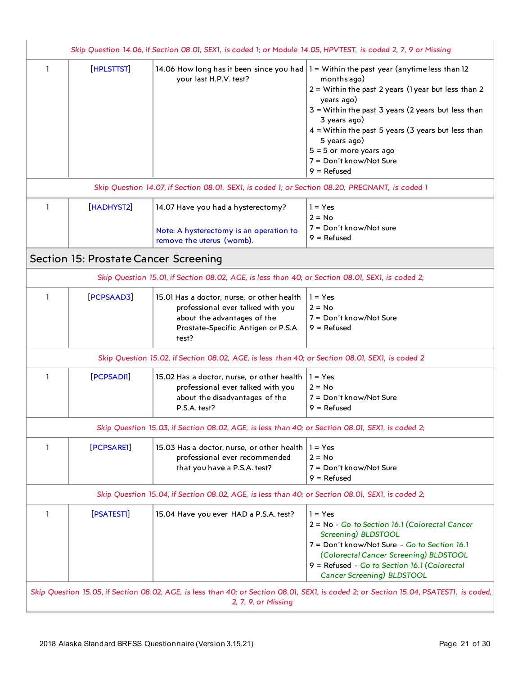<span id="page-20-0"></span>

|              |                                       | Skip Question 14.06, if Section 08.01, SEX1, is coded 1; or Module 14.05, HPVTEST, is coded 2, 7, 9 or Missing                                                 |                                                                                                                                                                                                                                                                                                                                                                                                             |
|--------------|---------------------------------------|----------------------------------------------------------------------------------------------------------------------------------------------------------------|-------------------------------------------------------------------------------------------------------------------------------------------------------------------------------------------------------------------------------------------------------------------------------------------------------------------------------------------------------------------------------------------------------------|
| L            | [HPLSTTST]                            | your last H.P.V. test?                                                                                                                                         | 14.06 How long has it been since you had $ 1 =$ Within the past year (anytime less than 12<br>months ago)<br>$2 =$ Within the past 2 years (1 year but less than 2<br>years ago)<br>$3$ = Within the past $3$ years (2 years but less than<br>3 years ago)<br>$4 =$ Within the past 5 years (3 years but less than<br>5 years ago)<br>$5 = 5$ or more years ago<br>7 = Don't know/Not Sure<br>$9 =$ Refused |
|              |                                       | Skip Question 14.07, if Section 08.01, SEX1, is coded 1; or Section 08.20, PREGNANT, is coded 1                                                                |                                                                                                                                                                                                                                                                                                                                                                                                             |
| 1            | <b>HADHYST2</b>                       | 14.07 Have you had a hysterectomy?<br>Note: A hysterectomy is an operation to<br>remove the uterus (womb).                                                     | $1 = Yes$<br>$2 = No$<br>7 = Don't know/Not sure<br>$9 =$ Refused                                                                                                                                                                                                                                                                                                                                           |
|              | Section 15: Prostate Cancer Screening |                                                                                                                                                                |                                                                                                                                                                                                                                                                                                                                                                                                             |
|              |                                       | Skip Question 15.01, if Section 08.02, AGE, is less than 40; or Section 08.01, SEX1, is coded 2;                                                               |                                                                                                                                                                                                                                                                                                                                                                                                             |
| $\mathbf{1}$ | <b>PCPSAAD3</b>                       | 15.01 Has a doctor, nurse, or other health<br>professional ever talked with you<br>about the advantages of the<br>Prostate-Specific Antigen or P.S.A.<br>test? | $1 = Yes$<br>$2 = No$<br>7 = Don't know/Not Sure<br>$9 =$ Refused                                                                                                                                                                                                                                                                                                                                           |
|              |                                       | Skip Question 15.02, if Section 08.02, AGE, is less than 40; or Section 08.01, SEX1, is coded 2                                                                |                                                                                                                                                                                                                                                                                                                                                                                                             |
| 1            | [PCPSADII]                            | 15.02 Has a doctor, nurse, or other health $ 1 = Yes$<br>professional ever talked with you<br>about the disadvantages of the<br>P.S.A. test?                   | $2 = No$<br>7 = Don't know/Not Sure<br>$9 =$ Refused                                                                                                                                                                                                                                                                                                                                                        |
|              |                                       | Skip Question 15.03, if Section 08.02, AGE, is less than 40; or Section 08.01, SEX1, is coded 2;                                                               |                                                                                                                                                                                                                                                                                                                                                                                                             |
| ı            | [PCPSARE1]                            | 15.03 Has a doctor, nurse, or other health<br>professional ever recommended<br>that you have a P.S.A. test?                                                    | $1 = Yes$<br>$2 = No$<br>7 = Don't know/Not Sure<br>$9 =$ Refused                                                                                                                                                                                                                                                                                                                                           |
|              |                                       | Skip Question 15.04, if Section 08.02, AGE, is less than 40; or Section 08.01, SEX1, is coded 2;                                                               |                                                                                                                                                                                                                                                                                                                                                                                                             |
| L            | [PSATESTI]                            | 15.04 Have you ever HAD a P.S.A. test?                                                                                                                         | $1 = Yes$<br>2 = No - Go to Section 16.1 (Colorectal Cancer<br>Screening) BLDSTOOL<br>7 = Don't know/Not Sure - Go to Section 16.1<br>(Colorectal Cancer Screening) BLDSTOOL<br>9 = Refused - Go to Section 16.1 (Colorectal<br>Cancer Screening) BLDSTOOL                                                                                                                                                  |
|              |                                       | 2, 7, 9, or Missing                                                                                                                                            | Skip Question 15.05, if Section 08.02, AGE, is less than 40; or Section 08.01, SEX1, is coded 2; or Section 15.04, PSATESTI, is coded,                                                                                                                                                                                                                                                                      |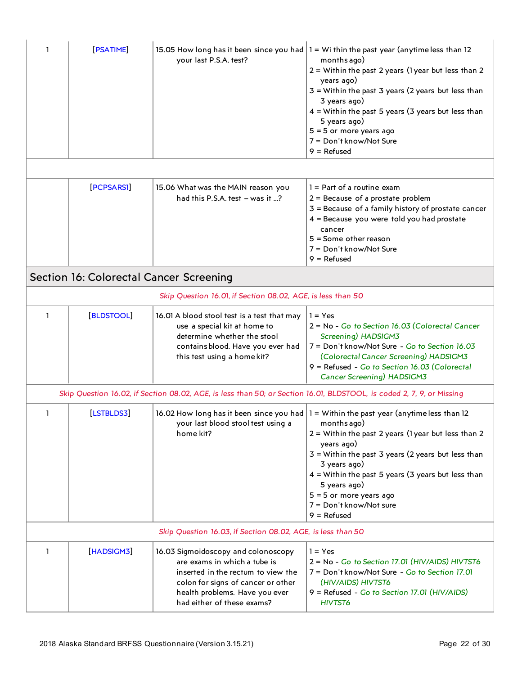<span id="page-21-0"></span>

| ı            | [PSATIME]  | your last P.S.A. test?                                                                                                                                                                                          | 15.05 How long has it been since you had $1 = Wi$ thin the past year (anytime less than 12<br>months ago)<br>$2 =$ Within the past 2 years (1 year but less than 2<br>years ago)<br>$3$ = Within the past $3$ years (2 years but less than<br>3 years ago)<br>$4 =$ Within the past 5 years (3 years but less than<br>5 years ago)<br>$5 = 5$ or more years ago<br>7 = Don't know/Not Sure<br>$9 =$ Refused |
|--------------|------------|-----------------------------------------------------------------------------------------------------------------------------------------------------------------------------------------------------------------|-------------------------------------------------------------------------------------------------------------------------------------------------------------------------------------------------------------------------------------------------------------------------------------------------------------------------------------------------------------------------------------------------------------|
|              |            |                                                                                                                                                                                                                 |                                                                                                                                                                                                                                                                                                                                                                                                             |
|              | [PCPSARS1] | 15.06 What was the MAIN reason you<br>had this P.S.A. test - was it ?                                                                                                                                           | $1 = Part of a routine exam$<br>$2$ = Because of a prostate problem<br>$3$ = Because of a family history of prostate cancer<br>4 = Because you were told you had prostate<br>cancer<br>$5 =$ Some other reason<br>7 = Don't know/Not Sure<br>$9 =$ Refused                                                                                                                                                  |
|              |            | Section 16: Colorectal Cancer Screening                                                                                                                                                                         |                                                                                                                                                                                                                                                                                                                                                                                                             |
|              |            | Skip Question 16.01, if Section 08.02, AGE, is less than 50                                                                                                                                                     |                                                                                                                                                                                                                                                                                                                                                                                                             |
| 1            | [BLDSTOOL] | 16.01 A blood stool test is a test that may<br>use a special kit at home to<br>determine whether the stool<br>contains blood. Have you ever had<br>this test using a home kit?                                  | $1 = Yes$<br>2 = No - Go to Section 16.03 (Colorectal Cancer<br>Screening) HADSIGM3<br>7 = Don't know/Not Sure - Go to Section 16.03<br>(Colorectal Cancer Screening) HADSIGM3<br>9 = Refused - Go to Section 16.03 (Colorectal<br>Cancer Screening) HADSIGM3                                                                                                                                               |
|              |            |                                                                                                                                                                                                                 | Skip Question 16.02, if Section 08.02, AGE, is less than 50; or Section 16.01, BLDSTOOL, is coded 2, 7, 9, or Missing                                                                                                                                                                                                                                                                                       |
| 1            | [LSTBLDS3] | your last blood stool test using a<br>home kit?                                                                                                                                                                 | 16.02 How long has it been since you had $ 1 =$ Within the past year (anytime less than 12<br>months ago)<br>$2 =$ Within the past 2 years (1 year but less than 2<br>years ago)<br>$3$ = Within the past $3$ years (2 years but less than<br>3 years ago)<br>$4 =$ Within the past 5 years (3 years but less than<br>5 years ago)<br>$5 = 5$ or more years ago<br>7 = Don't know/Not sure<br>$9 =$ Refused |
|              |            | Skip Question 16.03, if Section 08.02, AGE, is less than 50                                                                                                                                                     |                                                                                                                                                                                                                                                                                                                                                                                                             |
| $\mathbf{1}$ | [HADSIGM3] | 16.03 Sigmoidoscopy and colonoscopy<br>are exams in which a tube is<br>inserted in the rectum to view the<br>colon for signs of cancer or other<br>health problems. Have you ever<br>had either of these exams? | $1 = Yes$<br>2 = No - Go to Section 17.01 (HIV/AIDS) HIVTST6<br>7 = Don't know/Not Sure - Go to Section 17.01<br>(HIV/AIDS) HIVTST6<br>9 = Refused - Go to Section 17.01 (HIV/AIDS)<br>HIVTST6                                                                                                                                                                                                              |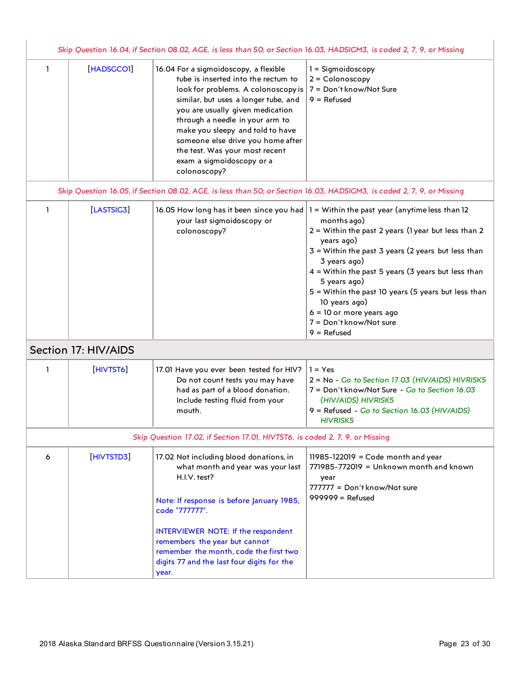<span id="page-22-0"></span>

|              |                      |                                                                                                                                                                                                                                                                                                                                                                                                                      | Skip Question 16.04, if Section 08.02, AGE, is less than 50; or Section 16.03, HADSIGM3, is coded 2, 7, 9, or Missing                                                                                                                                                                                                                                                                                                                                                               |
|--------------|----------------------|----------------------------------------------------------------------------------------------------------------------------------------------------------------------------------------------------------------------------------------------------------------------------------------------------------------------------------------------------------------------------------------------------------------------|-------------------------------------------------------------------------------------------------------------------------------------------------------------------------------------------------------------------------------------------------------------------------------------------------------------------------------------------------------------------------------------------------------------------------------------------------------------------------------------|
| ı            | [HADSGCO1]           | 16.04 For a sigmoidoscopy, a flexible<br>tube is inserted into the rectum to<br>look for problems. A colonoscopy is $7 =$ Don't know/Not Sure<br>similar, but uses a longer tube, and<br>you are usually given medication<br>through a needle in your arm to<br>make you sleepy and told to have<br>someone else drive you home after<br>the test. Was your most recent<br>exam a sigmoidoscopy or a<br>colonoscopy? | 1 = Sigmoidoscopy<br>$2 =$ Colonoscopy<br>$9 =$ Refused                                                                                                                                                                                                                                                                                                                                                                                                                             |
|              |                      |                                                                                                                                                                                                                                                                                                                                                                                                                      | Skip Question 16.05, if Section 08.02, AGE, is less than 50; or Section 16.03, HADSIGM3, is coded 2, 7, 9, or Missing                                                                                                                                                                                                                                                                                                                                                               |
| 1            | [LASTSIG3]           | your last sigmoidoscopy or<br>colonoscopy?                                                                                                                                                                                                                                                                                                                                                                           | 16.05 How long has it been since you had $1 =$ Within the past year (anytime less than 12<br>months ago)<br>$2 =$ Within the past 2 years (1 year but less than 2<br>years ago)<br>$3$ = Within the past $3$ years (2 years but less than<br>3 years ago)<br>$4$ = Within the past 5 years (3 years but less than<br>5 years ago)<br>5 = Within the past 10 years (5 years but less than<br>10 years ago)<br>$6 = 10$ or more years ago<br>7 = Don't know/Not sure<br>$9 =$ Refused |
|              | Section 17: HIV/AIDS |                                                                                                                                                                                                                                                                                                                                                                                                                      |                                                                                                                                                                                                                                                                                                                                                                                                                                                                                     |
| $\mathbf{1}$ | [HIVTST6]            | 17.01 Have you ever been tested for HIV?<br>Do not count tests you may have<br>had as part of a blood donation.<br>Include testing fluid from your<br>mouth.                                                                                                                                                                                                                                                         | $1 = Yes$<br>2 = No - Go to Section 17.03 (HIV/AIDS) HIVRISK5<br>7 = Don't know/Not Sure - Go to Section 16.03<br>(HIV/AIDS) HIVRISK5<br>9 = Refused - Go to Section 16.03 (HIV/AIDS)<br><b>HIVRISK5</b>                                                                                                                                                                                                                                                                            |
|              |                      | Skip Question 17.02, if Section 17.01, HIVTST6, is coded 2, 7, 9, or Missing                                                                                                                                                                                                                                                                                                                                         |                                                                                                                                                                                                                                                                                                                                                                                                                                                                                     |
| 6            | [HIVTSTD3]           | 17.02 Not including blood donations, in<br>what month and year was your last<br>H.I.V. test?<br>Note: If response is before January 1985,<br>code "777777".<br>INTERVIEWER NOTE: If the respondent<br>remembers the year but cannot<br>remember the month, code the first two<br>digits 77 and the last four digits for the<br>year.                                                                                 | $11985 - 122019 =$ Code month and year<br>$771985 - 772019 =$ Unknown month and known<br>year<br>777777 = Don't know/Not sure<br>$999999 =$ Refused                                                                                                                                                                                                                                                                                                                                 |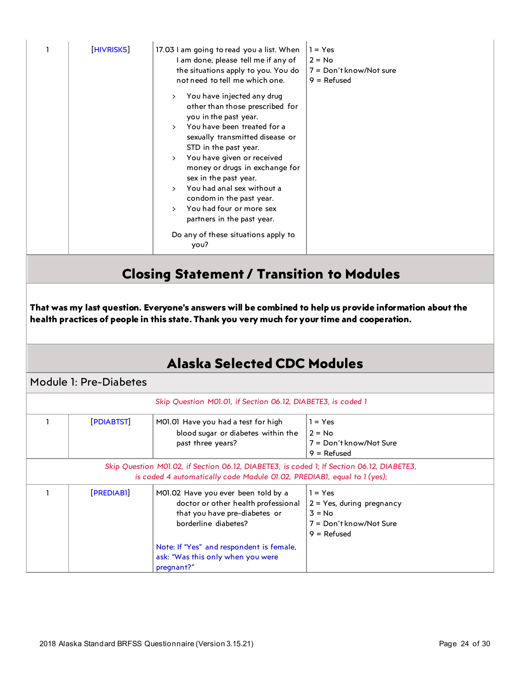| ı                                                                                                                                                                                                       | <b>HIVRISK5</b>                                           | 17.03 I am going to read you a list. When<br>I am done, please tell me if any of<br>the situations apply to you. You do<br>not need to tell me which one.                                                                                                                                                                                                                                                                             | $1 = Yes$<br>$2 = No$<br>7 = Don't know/Not sure<br>$9 =$ Refused |  |  |  |
|---------------------------------------------------------------------------------------------------------------------------------------------------------------------------------------------------------|-----------------------------------------------------------|---------------------------------------------------------------------------------------------------------------------------------------------------------------------------------------------------------------------------------------------------------------------------------------------------------------------------------------------------------------------------------------------------------------------------------------|-------------------------------------------------------------------|--|--|--|
|                                                                                                                                                                                                         |                                                           | You have injected any drug<br>$\geq$<br>other than those prescribed for<br>you in the past year.<br>You have been treated for a<br>sexually transmitted disease or<br>STD in the past year.<br>You have given or received<br>$\geq$<br>money or drugs in exchange for<br>sex in the past year.<br>> You had anal sex without a<br>condom in the past year.<br>You had four or more sex<br>$\mathcal{P}$<br>partners in the past year. |                                                                   |  |  |  |
|                                                                                                                                                                                                         |                                                           | Do any of these situations apply to<br>you?                                                                                                                                                                                                                                                                                                                                                                                           |                                                                   |  |  |  |
|                                                                                                                                                                                                         | <b>Closing Statement / Transition to Modules</b>          |                                                                                                                                                                                                                                                                                                                                                                                                                                       |                                                                   |  |  |  |
| That was my last question. Everyone's answers will be combined to help us provide information about the<br>health practices of people in this state. Thank you very much for your time and cooperation. |                                                           |                                                                                                                                                                                                                                                                                                                                                                                                                                       |                                                                   |  |  |  |
| <b>Alaska Selected CDC Modules</b>                                                                                                                                                                      |                                                           |                                                                                                                                                                                                                                                                                                                                                                                                                                       |                                                                   |  |  |  |
|                                                                                                                                                                                                         | Module 1: Pre-Diabetes                                    |                                                                                                                                                                                                                                                                                                                                                                                                                                       |                                                                   |  |  |  |
|                                                                                                                                                                                                         | Skin Question M01.01 if Section 06.12 DIARETE3 is coded 1 |                                                                                                                                                                                                                                                                                                                                                                                                                                       |                                                                   |  |  |  |

<span id="page-23-2"></span><span id="page-23-1"></span><span id="page-23-0"></span>

| Skip Question M01.01, if Section 06.12, DIABETE3, is coded 1                                                                                                         |                                                                                                                                     |                                                                                                   |  |  |
|----------------------------------------------------------------------------------------------------------------------------------------------------------------------|-------------------------------------------------------------------------------------------------------------------------------------|---------------------------------------------------------------------------------------------------|--|--|
| [PDIABTST]                                                                                                                                                           | MOI.01 Have you had a test for high<br>blood sugar or diabetes within the<br>past three years?                                      | $1 = Yes$<br>$2 = No$<br>7 = Don't know/Not Sure<br>$9 =$ Refused                                 |  |  |
| Skip Question M01.02, if Section 06.12, DIABETE3, is coded 1; If Section 06.12, DIABETE3,<br>is coded 4 automatically code Module 01.02, PREDIAB1, equal to 1 (yes); |                                                                                                                                     |                                                                                                   |  |  |
| <b>PREDIAB1</b>                                                                                                                                                      | M01.02 Have you ever been told by a<br>doctor or other health professional<br>that you have pre-diabetes or<br>borderline diabetes? | $1 = Yes$<br>$2 = Yes$ , during pregnancy<br>$3 = No$<br>7 = Don't know/Not Sure<br>$9 =$ Refused |  |  |
|                                                                                                                                                                      | Note: If "Yes" and respondent is female,<br>ask: "Was this only when you were<br>pregnant?"                                         |                                                                                                   |  |  |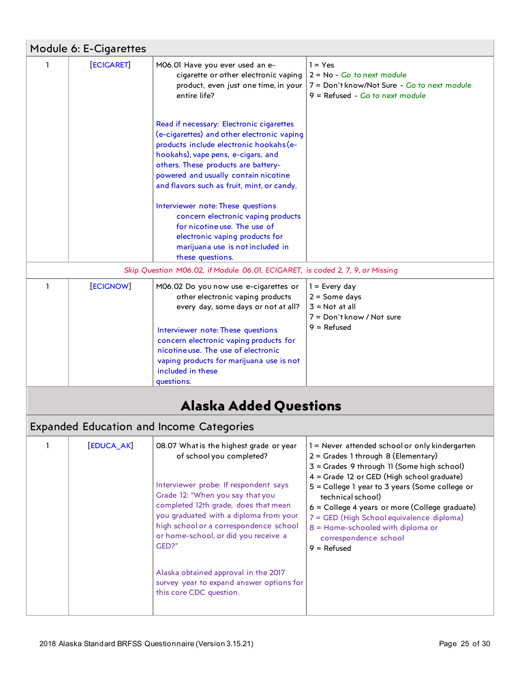<span id="page-24-1"></span><span id="page-24-0"></span>

|              | Module 6: E-Cigarettes |                                                                                                                                                                                                                                                                                                                               |                                                                                                                                                                                                                                                                                                                                                                                                                                            |
|--------------|------------------------|-------------------------------------------------------------------------------------------------------------------------------------------------------------------------------------------------------------------------------------------------------------------------------------------------------------------------------|--------------------------------------------------------------------------------------------------------------------------------------------------------------------------------------------------------------------------------------------------------------------------------------------------------------------------------------------------------------------------------------------------------------------------------------------|
| 1            | <b>ECIGARET</b>        | M06.01 Have you ever used an e-<br>cigarette or other electronic vaping<br>entire life?<br>Read if necessary: Electronic cigarettes                                                                                                                                                                                           | $1 = Yes$<br>$2 = No - Go$ to next module<br>product, even just one time, in your $7 = Don't know/Not Sure - Go to next module$<br>9 = Refused - Go to next module                                                                                                                                                                                                                                                                         |
|              |                        | (e-cigarettes) and other electronic vaping<br>products include electronic hookahs (e-<br>hookahs), vape pens, e-cigars, and<br>others. These products are battery-<br>powered and usually contain nicotine<br>and flavors such as fruit, mint, or candy.                                                                      |                                                                                                                                                                                                                                                                                                                                                                                                                                            |
|              |                        | Interviewer note: These questions<br>concern electronic vaping products<br>for nicotine use. The use of<br>electronic vaping products for<br>marijuana use is not included in<br>these questions.                                                                                                                             |                                                                                                                                                                                                                                                                                                                                                                                                                                            |
|              |                        | Skip Question M06.02, if Module 06.01, ECIGARET, is coded 2, 7, 9, or Missing                                                                                                                                                                                                                                                 |                                                                                                                                                                                                                                                                                                                                                                                                                                            |
| $\mathbf{1}$ | [ECIGNOW]              | M06.02 Do you now use e-cigarettes or<br>other electronic vaping products<br>every day, some days or not at all?<br>Interviewer note: These questions<br>concern electronic vaping products for<br>nicotine use. The use of electronic<br>vaping products for marijuana use is not<br>included in these<br>questions.         | $1 = Every day$<br>$2 = Some days$<br>$3 = Not at all$<br>7 = Don't know / Not sure<br>$9 =$ Refused                                                                                                                                                                                                                                                                                                                                       |
|              |                        | <b>Alaska Added Questions</b>                                                                                                                                                                                                                                                                                                 |                                                                                                                                                                                                                                                                                                                                                                                                                                            |
|              |                        | <b>Expanded Education and Income Categories</b>                                                                                                                                                                                                                                                                               |                                                                                                                                                                                                                                                                                                                                                                                                                                            |
| 1            | [EDUCA_AK]             | 08.07 What is the highest grade or year<br>of school you completed?<br>Interviewer probe: If respondent says<br>Grade 12: "When you say that you<br>completed 12th grade, does that mean<br>you graduated with a diploma from your<br>high school or a correspondence school<br>or home-school, or did you receive a<br>GED?" | 1 = Never attended school or only kindergarten<br>$2 =$ Grades 1 through 8 (Elementary)<br>3 = Grades 9 through 11 (Some high school)<br>4 = Grade 12 or GED (High school graduate)<br>5 = College 1 year to 3 years (Some college or<br>technical school)<br>6 = College 4 years or more (College graduate)<br>7 = GED (High School equivalence diploma)<br>$8 =$ Home-schooled with diploma or<br>correspondence school<br>$9 =$ Refused |
|              |                        | Alaska obtained approval in the 2017<br>survey year to expand answer options for<br>this core CDC question.                                                                                                                                                                                                                   |                                                                                                                                                                                                                                                                                                                                                                                                                                            |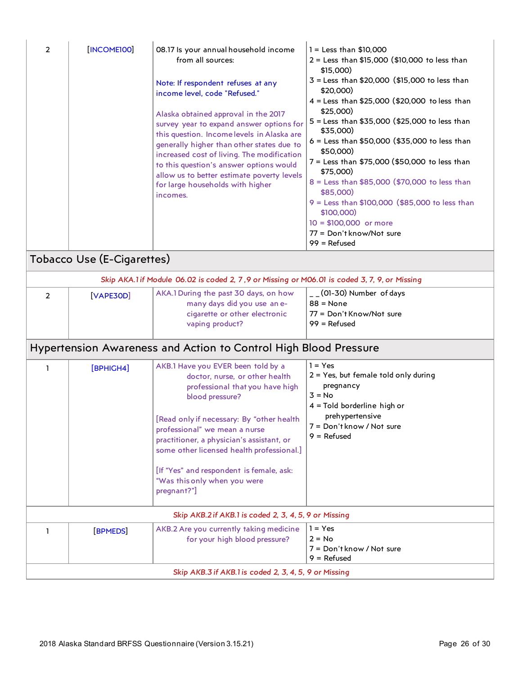<span id="page-25-1"></span><span id="page-25-0"></span>

| $\overline{2}$ | <b>INCOME100</b>           | 08.17 Is your annual household income<br>from all sources:<br>Note: If respondent refuses at any<br>income level, code "Refused."<br>Alaska obtained approval in the 2017<br>survey year to expand answer options for<br>this question. Income levels in Alaska are<br>generally higher than other states due to<br>increased cost of living. The modification<br>to this question's answer options would<br>allow us to better estimate poverty levels<br>for large households with higher<br>incomes. | $1 =$ Less than \$10,000<br>$2 =$ Less than \$15,000 (\$10,000 to less than<br>\$15,000)<br>3 = Less than \$20,000 (\$15,000 to less than<br>\$20,000)<br>4 = Less than \$25,000 (\$20,000 to less than<br>\$25,000)<br>5 = Less than \$35,000 (\$25,000 to less than<br>\$35,000)<br>$6 =$ Less than \$50,000 (\$35,000 to less than<br>\$50,000)<br>7 = Less than \$75,000 (\$50,000 to less than<br>\$75,000)<br>8 = Less than \$85,000 (\$70,000 to less than<br>\$85,000<br>9 = Less than \$100,000 (\$85,000 to less than<br>\$100,000<br>$10 = $100,000$ or more<br>77 = Don't know/Not sure<br>$99 =$ Refused |
|----------------|----------------------------|---------------------------------------------------------------------------------------------------------------------------------------------------------------------------------------------------------------------------------------------------------------------------------------------------------------------------------------------------------------------------------------------------------------------------------------------------------------------------------------------------------|-----------------------------------------------------------------------------------------------------------------------------------------------------------------------------------------------------------------------------------------------------------------------------------------------------------------------------------------------------------------------------------------------------------------------------------------------------------------------------------------------------------------------------------------------------------------------------------------------------------------------|
|                | Tobacco Use (E-Cigarettes) |                                                                                                                                                                                                                                                                                                                                                                                                                                                                                                         |                                                                                                                                                                                                                                                                                                                                                                                                                                                                                                                                                                                                                       |
|                |                            | Skip AKA.1 if Module 06.02 is coded 2, 7,9 or Missing or M06.01 is coded 3, 7, 9, or Missing                                                                                                                                                                                                                                                                                                                                                                                                            |                                                                                                                                                                                                                                                                                                                                                                                                                                                                                                                                                                                                                       |
| $\overline{2}$ | [VAPE30D]                  | AKA.1 During the past 30 days, on how<br>many days did you use an e-<br>cigarette or other electronic<br>vaping product?                                                                                                                                                                                                                                                                                                                                                                                | $_{-}$ (01-30) Number of days<br>$88 = None$<br>77 = Don't Know/Not sure<br>99 = Refused                                                                                                                                                                                                                                                                                                                                                                                                                                                                                                                              |
|                |                            | Hypertension Awareness and Action to Control High Blood Pressure                                                                                                                                                                                                                                                                                                                                                                                                                                        |                                                                                                                                                                                                                                                                                                                                                                                                                                                                                                                                                                                                                       |
| ı              | [BPHIGH4]                  | AKB.1 Have you EVER been told by a<br>doctor, nurse, or other health<br>professional that you have high<br>blood pressure?<br>[Read only if necessary: By "other health<br>professional" we mean a nurse<br>practitioner, a physician's assistant, or<br>some other licensed health professional.]<br>[If "Yes" and respondent is female, ask:<br>"Was this only when you were<br>pregnant?"]                                                                                                           | $1 = Yes$<br>$2 = Yes$ , but female told only during<br>pregnancy<br>$3 = No$<br>4 = Told borderline high or<br>prehypertensive<br>7 = Don't know / Not sure<br>$9 =$ Refused                                                                                                                                                                                                                                                                                                                                                                                                                                         |
|                |                            | Skip AKB.2 if AKB.1 is coded 2, 3, 4, 5, 9 or Missing                                                                                                                                                                                                                                                                                                                                                                                                                                                   |                                                                                                                                                                                                                                                                                                                                                                                                                                                                                                                                                                                                                       |
| 1              | <b>BPMEDS</b>              | AKB.2 Are you currently taking medicine<br>for your high blood pressure?                                                                                                                                                                                                                                                                                                                                                                                                                                | $1 = Yes$<br>2 = No<br>7 = Don't know / Not sure<br>$9 =$ Refused                                                                                                                                                                                                                                                                                                                                                                                                                                                                                                                                                     |
|                |                            | Skip AKB.3 if AKB.1 is coded 2, 3, 4, 5, 9 or Missing                                                                                                                                                                                                                                                                                                                                                                                                                                                   |                                                                                                                                                                                                                                                                                                                                                                                                                                                                                                                                                                                                                       |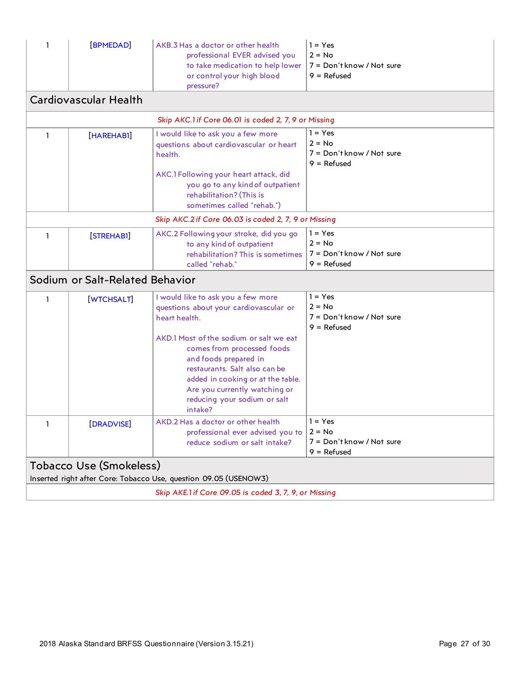<span id="page-26-2"></span><span id="page-26-1"></span><span id="page-26-0"></span>

| 1                                                                                           | <b>BPMEDAD</b>                  | AKB.3 Has a doctor or other health<br>professional EVER advised you<br>to take medication to help lower<br>or control your high blood<br>pressure?                                                                                               | $1 = Yes$<br>$2 = No$<br>7 = Don't know / Not sure<br>$9 =$ Refused |
|---------------------------------------------------------------------------------------------|---------------------------------|--------------------------------------------------------------------------------------------------------------------------------------------------------------------------------------------------------------------------------------------------|---------------------------------------------------------------------|
|                                                                                             | Cardiovascular Health           |                                                                                                                                                                                                                                                  |                                                                     |
|                                                                                             |                                 | Skip AKC.1 if Core 06.01 is coded 2, 7, 9 or Missing                                                                                                                                                                                             |                                                                     |
| $\mathbf{1}$                                                                                | [HAREHABI]                      | I would like to ask you a few more<br>questions about cardiovascular or heart<br>health.                                                                                                                                                         | $1 = Yes$<br>$2 = No$<br>7 = Don't know / Not sure<br>$9 =$ Refused |
|                                                                                             |                                 | AKC.1 Following your heart attack, did<br>you go to any kind of outpatient<br>rehabilitation? (This is<br>sometimes called "rehab.")                                                                                                             |                                                                     |
|                                                                                             |                                 | Skip AKC.2 if Core 06.03 is coded 2, 7, 9 or Missing                                                                                                                                                                                             |                                                                     |
| ı.                                                                                          | [STREHABI]                      | AKC.2 Following your stroke, did you go<br>to any kind of outpatient<br>rehabilitation? This is sometimes<br>called "rehab."                                                                                                                     | $1 = Yes$<br>$2 = No$<br>7 = Don't know / Not sure<br>$9 =$ Refused |
|                                                                                             | Sodium or Salt-Related Behavior |                                                                                                                                                                                                                                                  |                                                                     |
| $\mathbf{1}$                                                                                | <b>WTCHSALT</b>                 | I would like to ask you a few more<br>questions about your cardiovascular or<br>heart health.                                                                                                                                                    | $1 = Yes$<br>$2 = No$<br>7 = Don't know / Not sure<br>$9 =$ Refused |
|                                                                                             |                                 | AKD.1 Most of the sodium or salt we eat<br>comes from processed foods<br>and foods prepared in<br>restaurants. Salt also can be<br>added in cooking or at the table.<br>Are you currently watching or<br>reducing your sodium or salt<br>intake? |                                                                     |
| ı                                                                                           | [DRADVISE]                      | AKD.2 Has a doctor or other health<br>professional ever advised you to<br>reduce sodium or salt intake?                                                                                                                                          | $1 = Yes$<br>$2 = No$<br>7 = Don't know / Not sure<br>$9 =$ Refused |
| Tobacco Use (Smokeless)<br>Inserted right after Core: Tobacco Use, question 09.05 (USENOW3) |                                 |                                                                                                                                                                                                                                                  |                                                                     |
| Skip AKE.1 if Core 09.05 is coded 3, 7, 9, or Missing                                       |                                 |                                                                                                                                                                                                                                                  |                                                                     |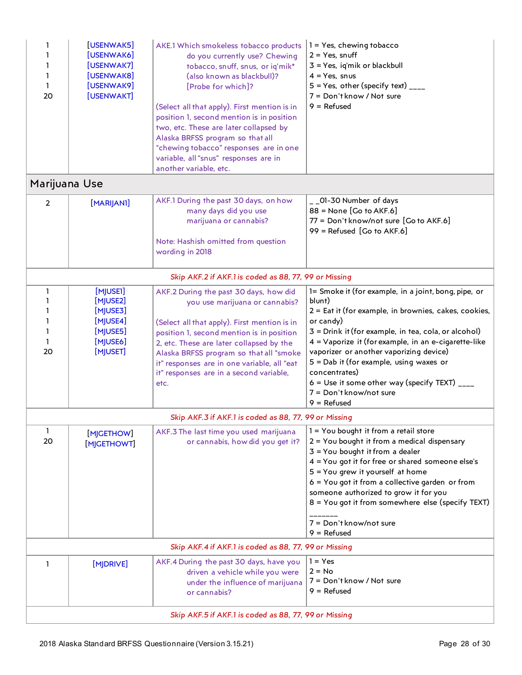<span id="page-27-0"></span>

| ı<br>L<br>20                                          | [USENWAK5]<br>[USENWAK6]<br>[USENWAK7]<br>[USENWAK8]<br>[USENWAK9]<br>[USENWAKT] | AKE.1 Which smokeless tobacco products<br>do you currently use? Chewing<br>tobacco, snuff, snus, or iq'mik*<br>(also known as blackbull)?<br>[Probe for which]?<br>(Select all that apply). First mention is in<br>position 1, second mention is in position<br>two, etc. These are later collapsed by<br>Alaska BRFSS program so that all<br>"chewing tobacco" responses are in one<br>variable, all "snus" responses are in<br>another variable, etc. | $1 = Yes$ , chewing tobacco<br>$2 = Yes$ , snuff<br>3 = Yes, iq'mik or blackbull<br>$4 = Yes$ , snus<br>$5 = Yes$ , other (specify text) $_{---}$<br>7 = Don't know / Not sure<br>$9 =$ Refused                                                                                                                                                                                                                                                                      |  |
|-------------------------------------------------------|----------------------------------------------------------------------------------|---------------------------------------------------------------------------------------------------------------------------------------------------------------------------------------------------------------------------------------------------------------------------------------------------------------------------------------------------------------------------------------------------------------------------------------------------------|----------------------------------------------------------------------------------------------------------------------------------------------------------------------------------------------------------------------------------------------------------------------------------------------------------------------------------------------------------------------------------------------------------------------------------------------------------------------|--|
| Marijuana Use                                         |                                                                                  |                                                                                                                                                                                                                                                                                                                                                                                                                                                         |                                                                                                                                                                                                                                                                                                                                                                                                                                                                      |  |
| $\overline{2}$                                        | [MARIJAN1]                                                                       | AKF.1 During the past 30 days, on how<br>many days did you use<br>marijuana or cannabis?<br>Note: Hashish omitted from question<br>wording in 2018                                                                                                                                                                                                                                                                                                      | _ _01-30 Number of days<br>$88 =$ None $[Go to AKF.6]$<br>77 = Don't know/not sure [Go to AKF.6]<br>$99$ = Refused [Go to AKF.6]                                                                                                                                                                                                                                                                                                                                     |  |
|                                                       | Skip AKF.2 if AKF.1 is coded as 88, 77, 99 or Missing                            |                                                                                                                                                                                                                                                                                                                                                                                                                                                         |                                                                                                                                                                                                                                                                                                                                                                                                                                                                      |  |
| ı<br>ı<br>L<br>20                                     | [MJUSE1]<br>[MJUSE2]<br>[MJUSE3]<br>[MJUSE4]<br>[MJUSE5]<br>[MJUSE6]<br>[MJUSET] | AKF.2 During the past 30 days, how did<br>you use marijuana or cannabis?<br>(Select all that apply). First mention is in<br>position 1, second mention is in position<br>2, etc. These are later collapsed by the<br>Alaska BRFSS program so that all "smoke<br>it" responses are in one variable, all "eat<br>it" responses are in a second variable,<br>etc.                                                                                          | 1= Smoke it (for example, in a joint, bong, pipe, or<br>blunt)<br>$2 =$ Eat it (for example, in brownies, cakes, cookies,<br>or candy)<br>3 = Drink it (for example, in tea, cola, or alcohol)<br>4 = Vaporize it (for example, in an e-cigarette-like<br>vaporizer or another vaporizing device)<br>$5 =$ Dab it (for example, using waxes or<br>concentrates)<br>$6 =$ Use it some other way (specify TEXT) $_{---}$<br>$7 = Don't know/not sure$<br>$9 =$ Refused |  |
|                                                       |                                                                                  | Skip AKF.3 if AKF.1 is coded as 88, 77, 99 or Missing                                                                                                                                                                                                                                                                                                                                                                                                   |                                                                                                                                                                                                                                                                                                                                                                                                                                                                      |  |
| 1<br>20                                               | [MJGETHOW]<br>[MJGETHOWT]                                                        | AKF.3 The last time you used marijuana<br>or cannabis, how did you get it?                                                                                                                                                                                                                                                                                                                                                                              | 1 = You bought it from a retail store<br>$2 =$ You bought it from a medical dispensary<br>$3 = You$ bought it from a dealer<br>4 = You got it for free or shared someone else's<br>5 = You grew it yourself at home<br>$6 =$ You got it from a collective garden or from<br>someone authorized to grow it for you<br>8 = You got it from somewhere else (specify TEXT)<br>7 = Don't know/not sure<br>$9 =$ Refused                                                   |  |
|                                                       |                                                                                  | Skip AKF.4 if AKF.1 is coded as 88, 77, 99 or Missing                                                                                                                                                                                                                                                                                                                                                                                                   |                                                                                                                                                                                                                                                                                                                                                                                                                                                                      |  |
| 1                                                     | [MJDRIVE]                                                                        | AKF.4 During the past 30 days, have you<br>driven a vehicle while you were<br>under the influence of marijuana<br>or cannabis?                                                                                                                                                                                                                                                                                                                          | $1 = Yes$<br>$2 = No$<br>7 = Don't know / Not sure<br>$9 =$ Refused                                                                                                                                                                                                                                                                                                                                                                                                  |  |
| Skip AKF.5 if AKF.1 is coded as 88, 77, 99 or Missing |                                                                                  |                                                                                                                                                                                                                                                                                                                                                                                                                                                         |                                                                                                                                                                                                                                                                                                                                                                                                                                                                      |  |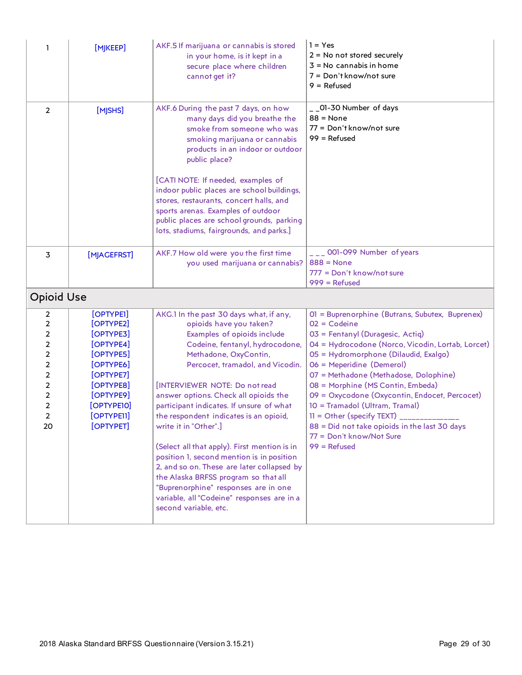<span id="page-28-0"></span>

| ı                                                                                                                                                                                           | [MJKEEP]                                                                                                                                                  | AKF.5 If marijuana or cannabis is stored<br>in your home, is it kept in a<br>secure place where children<br>cannot get it?                                                                                                                                                                                                                                                                                                                                                                                                                                                                                                                                                                    | $1 = Yes$<br>$2 = No$ not stored securely<br>$3 = No$ cannabis in home<br>7 = Don't know/not sure<br>$9 =$ Refused                                                                                                                                                                                                                                                                                                                                                                                                              |
|---------------------------------------------------------------------------------------------------------------------------------------------------------------------------------------------|-----------------------------------------------------------------------------------------------------------------------------------------------------------|-----------------------------------------------------------------------------------------------------------------------------------------------------------------------------------------------------------------------------------------------------------------------------------------------------------------------------------------------------------------------------------------------------------------------------------------------------------------------------------------------------------------------------------------------------------------------------------------------------------------------------------------------------------------------------------------------|---------------------------------------------------------------------------------------------------------------------------------------------------------------------------------------------------------------------------------------------------------------------------------------------------------------------------------------------------------------------------------------------------------------------------------------------------------------------------------------------------------------------------------|
| $\overline{2}$                                                                                                                                                                              | [MJSHS]                                                                                                                                                   | AKF.6 During the past 7 days, on how<br>many days did you breathe the<br>smoke from someone who was<br>smoking marijuana or cannabis<br>products in an indoor or outdoor<br>public place?                                                                                                                                                                                                                                                                                                                                                                                                                                                                                                     | _ _01-30 Number of days<br>$88 = None$<br>77 = Don't know/not sure<br>$99 =$ Refused                                                                                                                                                                                                                                                                                                                                                                                                                                            |
|                                                                                                                                                                                             |                                                                                                                                                           | [CATI NOTE: If needed, examples of<br>indoor public places are school buildings,<br>stores, restaurants, concert halls, and<br>sports arenas. Examples of outdoor<br>public places are school grounds, parking<br>lots, stadiums, fairgrounds, and parks.]                                                                                                                                                                                                                                                                                                                                                                                                                                    |                                                                                                                                                                                                                                                                                                                                                                                                                                                                                                                                 |
| 3                                                                                                                                                                                           | [MJAGEFRST]                                                                                                                                               | AKF.7 How old were you the first time<br>you used marijuana or cannabis?                                                                                                                                                                                                                                                                                                                                                                                                                                                                                                                                                                                                                      | $ -$ 001-099 Number of years<br>$888 = None$<br>777 = Don't know/not sure<br>$999 =$ Refused                                                                                                                                                                                                                                                                                                                                                                                                                                    |
| <b>Opioid Use</b>                                                                                                                                                                           |                                                                                                                                                           |                                                                                                                                                                                                                                                                                                                                                                                                                                                                                                                                                                                                                                                                                               |                                                                                                                                                                                                                                                                                                                                                                                                                                                                                                                                 |
| $\overline{2}$<br>$\overline{2}$<br>2<br>$\overline{2}$<br>$\overline{2}$<br>$\overline{2}$<br>$\overline{2}$<br>$\overline{2}$<br>$\overline{2}$<br>$\overline{2}$<br>$\overline{2}$<br>20 | [OPTYPEI]<br>[OPTYPE2]<br>[OPTYPE3]<br>[OPTYPE4]<br>[OPTYPE5]<br>[OPTYPE6]<br>[OPTYPE7]<br>[OPTYPE8]<br>[OPTYPE9]<br>[OPTYPE10]<br>[OPTYPE1]<br>[OPTYPET] | AKG.1 In the past 30 days what, if any,<br>opioids have you taken?<br>Examples of opioids include<br>Codeine, fentanyl, hydrocodone,<br>Methadone, OxyContin,<br>Percocet, tramadol, and Vicodin.<br>[INTERVIEWER NOTE: Do not read<br>answer options. Check all opioids the<br>participant indicates. If unsure of what<br>the respondent indicates is an opioid,<br>write it in "Other".]<br>(Select all that apply). First mention is in<br>position 1, second mention is in position<br>2, and so on. These are later collapsed by<br>the Alaska BRFSS program so that all<br>"Buprenorphine" responses are in one<br>variable, all "Codeine" responses are in a<br>second variable, etc. | 01 = Buprenorphine (Butrans, Subutex, Buprenex)<br>$02 = Codeine$<br>03 = Fentanyl (Duragesic, Actiq)<br>04 = Hydrocodone (Norco, Vicodin, Lortab, Lorcet)<br>05 = Hydromorphone (Dilaudid, Exalgo)<br>06 = Meperidine (Demerol)<br>07 = Methadone (Methadose, Dolophine)<br>08 = Morphine (MS Contin, Embeda)<br>09 = Oxycodone (Oxycontin, Endocet, Percocet)<br>10 = Tramadol (Ultram, Tramal)<br>$11 =$ Other (specify TEXT)<br>88 = Did not take opioids in the last 30 days<br>77 = Don't know/Not Sure<br>$99 = Refused$ |